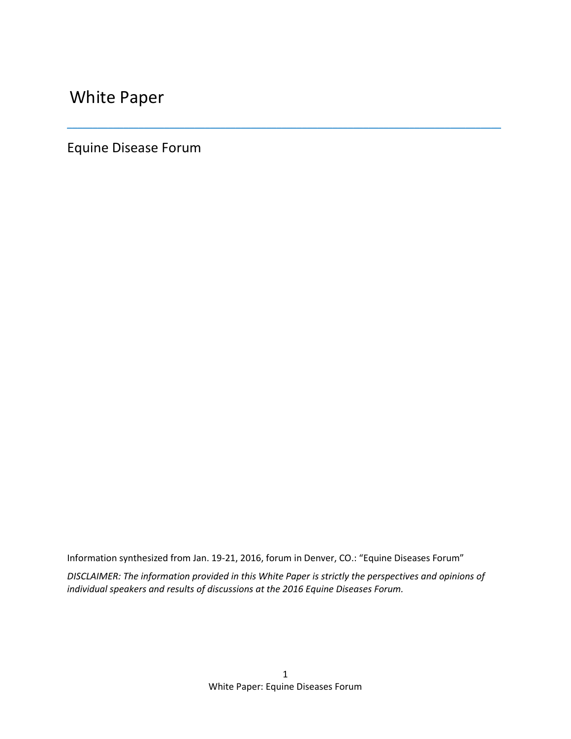White Paper

Equine Disease Forum

Information synthesized from Jan. 19-21, 2016, forum in Denver, CO.: "Equine Diseases Forum"

*DISCLAIMER: The information provided in this White Paper is strictly the perspectives and opinions of individual speakers and results of discussions at the 2016 Equine Diseases Forum.*

\_\_\_\_\_\_\_\_\_\_\_\_\_\_\_\_\_\_\_\_\_\_\_\_\_\_\_\_\_\_\_\_\_\_\_\_\_\_\_\_\_\_\_\_\_\_\_\_\_\_\_\_\_\_\_\_\_\_\_\_\_\_\_\_\_\_\_\_\_\_\_\_\_\_\_\_\_\_\_\_\_\_\_\_\_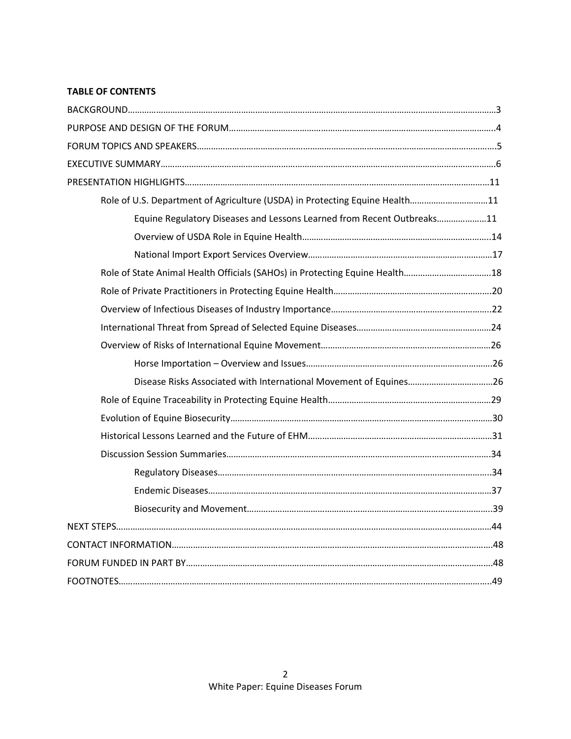# **TABLE OF CONTENTS**

| Role of U.S. Department of Agriculture (USDA) in Protecting Equine Health11 |  |
|-----------------------------------------------------------------------------|--|
| Equine Regulatory Diseases and Lessons Learned from Recent Outbreaks11      |  |
|                                                                             |  |
|                                                                             |  |
|                                                                             |  |
|                                                                             |  |
|                                                                             |  |
|                                                                             |  |
|                                                                             |  |
|                                                                             |  |
|                                                                             |  |
|                                                                             |  |
|                                                                             |  |
|                                                                             |  |
|                                                                             |  |
|                                                                             |  |
|                                                                             |  |
|                                                                             |  |
|                                                                             |  |
|                                                                             |  |
|                                                                             |  |
|                                                                             |  |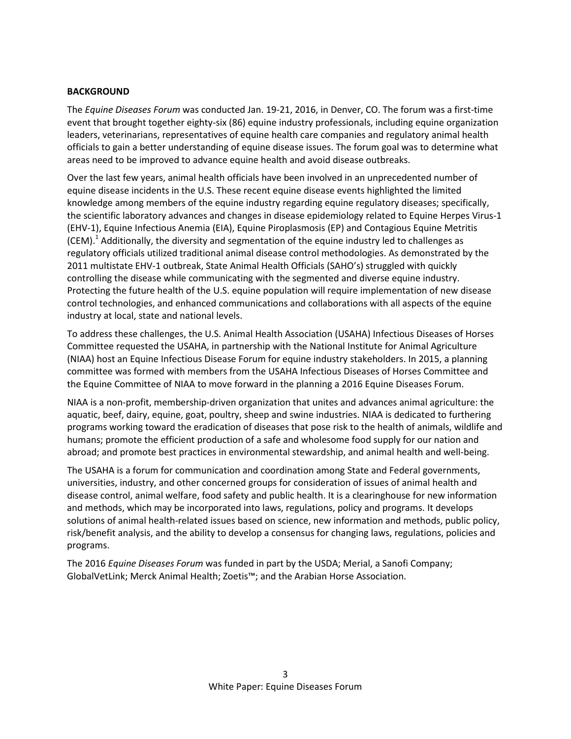### **BACKGROUND**

The *Equine Diseases Forum* was conducted Jan. 19-21, 2016, in Denver, CO. The forum was a first-time event that brought together eighty-six (86) equine industry professionals, including equine organization leaders, veterinarians, representatives of equine health care companies and regulatory animal health officials to gain a better understanding of equine disease issues. The forum goal was to determine what areas need to be improved to advance equine health and avoid disease outbreaks.

Over the last few years, animal health officials have been involved in an unprecedented number of equine disease incidents in the U.S. These recent equine disease events highlighted the limited knowledge among members of the equine industry regarding equine regulatory diseases; specifically, the scientific laboratory advances and changes in disease epidemiology related to Equine Herpes Virus-1 (EHV-1), Equine Infectious Anemia (EIA), Equine Piroplasmosis (EP) and Contagious Equine Metritis  $(CEM)$ .<sup>1</sup> Additionally, the diversity and segmentation of the equine industry led to challenges as regulatory officials utilized traditional animal disease control methodologies. As demonstrated by the 2011 multistate EHV-1 outbreak, State Animal Health Officials (SAHO's) struggled with quickly controlling the disease while communicating with the segmented and diverse equine industry. Protecting the future health of the U.S. equine population will require implementation of new disease control technologies, and enhanced communications and collaborations with all aspects of the equine industry at local, state and national levels.

To address these challenges, the U.S. Animal Health Association (USAHA) Infectious Diseases of Horses Committee requested the USAHA, in partnership with the National Institute for Animal Agriculture (NIAA) host an Equine Infectious Disease Forum for equine industry stakeholders. In 2015, a planning committee was formed with members from the USAHA Infectious Diseases of Horses Committee and the Equine Committee of NIAA to move forward in the planning a 2016 Equine Diseases Forum.

NIAA is a non-profit, membership-driven organization that unites and advances animal agriculture: the aquatic, beef, dairy, equine, goat, poultry, sheep and swine industries. NIAA is dedicated to furthering programs working toward the eradication of diseases that pose risk to the health of animals, wildlife and humans; promote the efficient production of a safe and wholesome food supply for our nation and abroad; and promote best practices in environmental stewardship, and animal health and well-being.

The USAHA is a forum for communication and coordination among State and Federal governments, universities, industry, and other concerned groups for consideration of issues of animal health and disease control, animal welfare, food safety and public health. It is a clearinghouse for new information and methods, which may be incorporated into laws, regulations, policy and programs. It develops solutions of animal health-related issues based on science, new information and methods, public policy, risk/benefit analysis, and the ability to develop a consensus for changing laws, regulations, policies and programs.

The 2016 *Equine Diseases Forum* was funded in part by the USDA; Merial, a Sanofi Company; GlobalVetLink; Merck Animal Health; Zoetis™; and the Arabian Horse Association.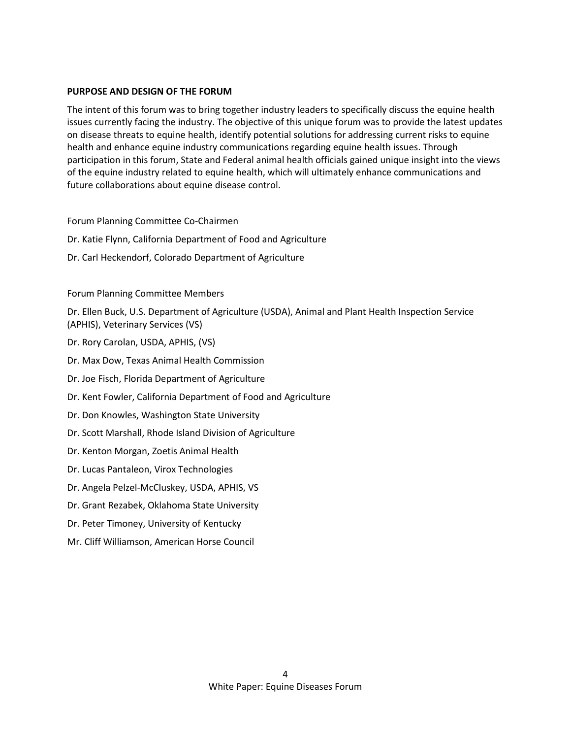### **PURPOSE AND DESIGN OF THE FORUM**

The intent of this forum was to bring together industry leaders to specifically discuss the equine health issues currently facing the industry. The objective of this unique forum was to provide the latest updates on disease threats to equine health, identify potential solutions for addressing current risks to equine health and enhance equine industry communications regarding equine health issues. Through participation in this forum, State and Federal animal health officials gained unique insight into the views of the equine industry related to equine health, which will ultimately enhance communications and future collaborations about equine disease control.

#### Forum Planning Committee Co-Chairmen

- Dr. Katie Flynn, California Department of Food and Agriculture
- Dr. Carl Heckendorf, Colorado Department of Agriculture

### Forum Planning Committee Members

Dr. Ellen Buck, U.S. Department of Agriculture (USDA), Animal and Plant Health Inspection Service (APHIS), Veterinary Services (VS)

- Dr. Rory Carolan, USDA, APHIS, (VS)
- Dr. Max Dow, Texas Animal Health Commission
- Dr. Joe Fisch, Florida Department of Agriculture
- Dr. Kent Fowler, California Department of Food and Agriculture
- Dr. Don Knowles, Washington State University
- Dr. Scott Marshall, Rhode Island Division of Agriculture
- Dr. Kenton Morgan, Zoetis Animal Health
- Dr. Lucas Pantaleon, Virox Technologies
- Dr. Angela Pelzel-McCluskey, USDA, APHIS, VS
- Dr. Grant Rezabek, Oklahoma State University
- Dr. Peter Timoney, University of Kentucky
- Mr. Cliff Williamson, American Horse Council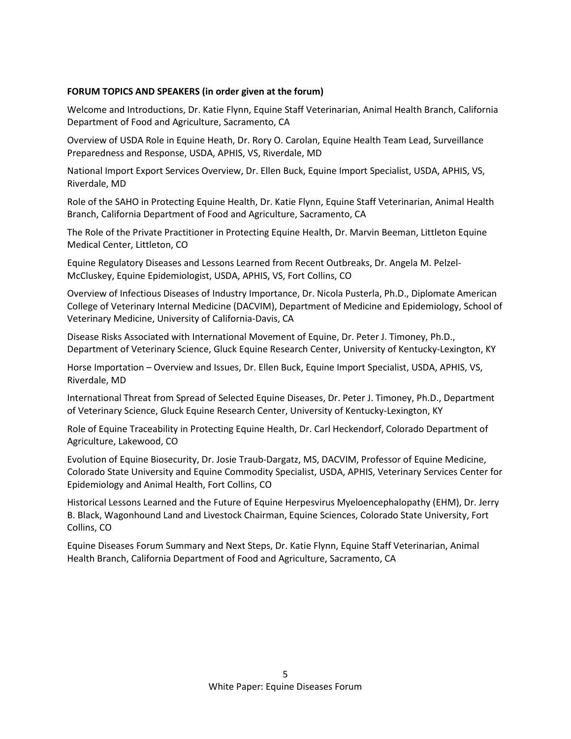## **FORUM TOPICS AND SPEAKERS (in order given at the forum)**

Welcome and Introductions, Dr. Katie Flynn, Equine Staff Veterinarian, Animal Health Branch, California Department of Food and Agriculture, Sacramento, CA

Overview of USDA Role in Equine Heath, Dr. Rory O. Carolan, Equine Health Team Lead, Surveillance Preparedness and Response, USDA, APHIS, VS, Riverdale, MD

National Import Export Services Overview, Dr. Ellen Buck, Equine Import Specialist, USDA, APHIS, VS, Riverdale, MD

Role of the SAHO in Protecting Equine Health, Dr. Katie Flynn, Equine Staff Veterinarian, Animal Health Branch, California Department of Food and Agriculture, Sacramento, CA

The Role of the Private Practitioner in Protecting Equine Health, Dr. Marvin Beeman, Littleton Equine Medical Center, Littleton, CO

Equine Regulatory Diseases and Lessons Learned from Recent Outbreaks, Dr. Angela M. Pelzel-McCluskey, Equine Epidemiologist, USDA, APHIS, VS, Fort Collins, CO

Overview of Infectious Diseases of Industry Importance, Dr. Nicola Pusterla, Ph.D., Diplomate American College of Veterinary Internal Medicine (DACVIM), Department of Medicine and Epidemiology, School of Veterinary Medicine, University of California-Davis, CA

Disease Risks Associated with International Movement of Equine, Dr. Peter J. Timoney, Ph.D., Department of Veterinary Science, Gluck Equine Research Center, University of Kentucky-Lexington, KY

Horse Importation – Overview and Issues, Dr. Ellen Buck, Equine Import Specialist, USDA, APHIS, VS, Riverdale, MD

International Threat from Spread of Selected Equine Diseases, Dr. Peter J. Timoney, Ph.D., Department of Veterinary Science, Gluck Equine Research Center, University of Kentucky-Lexington, KY

Role of Equine Traceability in Protecting Equine Health, Dr. Carl Heckendorf, Colorado Department of Agriculture, Lakewood, CO

Evolution of Equine Biosecurity, Dr. Josie Traub-Dargatz, MS, DACVIM, Professor of Equine Medicine, Colorado State University and Equine Commodity Specialist, USDA, APHIS, Veterinary Services Center for Epidemiology and Animal Health, Fort Collins, CO

Historical Lessons Learned and the Future of Equine Herpesvirus Myeloencephalopathy (EHM), Dr. Jerry B. Black, Wagonhound Land and Livestock Chairman, Equine Sciences, Colorado State University, Fort Collins, CO

Equine Diseases Forum Summary and Next Steps, Dr. Katie Flynn, Equine Staff Veterinarian, Animal Health Branch, California Department of Food and Agriculture, Sacramento, CA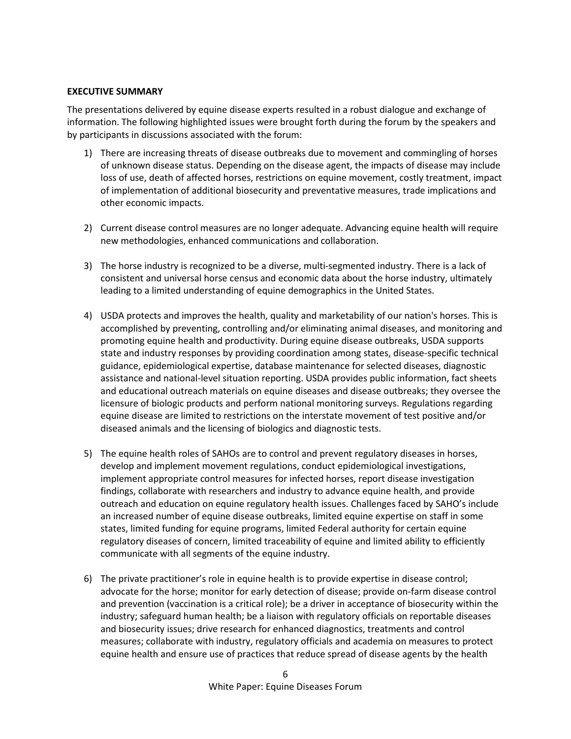### **EXECUTIVE SUMMARY**

The presentations delivered by equine disease experts resulted in a robust dialogue and exchange of information. The following highlighted issues were brought forth during the forum by the speakers and by participants in discussions associated with the forum:

- 1) There are increasing threats of disease outbreaks due to movement and commingling of horses of unknown disease status. Depending on the disease agent, the impacts of disease may include loss of use, death of affected horses, restrictions on equine movement, costly treatment, impact of implementation of additional biosecurity and preventative measures, trade implications and other economic impacts.
- 2) Current disease control measures are no longer adequate. Advancing equine health will require new methodologies, enhanced communications and collaboration.
- 3) The horse industry is recognized to be a diverse, multi-segmented industry. There is a lack of consistent and universal horse census and economic data about the horse industry, ultimately leading to a limited understanding of equine demographics in the United States.
- 4) USDA protects and improves the health, quality and marketability of our nation's horses. This is accomplished by preventing, controlling and/or eliminating animal diseases, and monitoring and promoting equine health and productivity. During equine disease outbreaks, USDA supports state and industry responses by providing coordination among states, disease-specific technical guidance, epidemiological expertise, database maintenance for selected diseases, diagnostic assistance and national-level situation reporting. USDA provides public information, fact sheets and educational outreach materials on equine diseases and disease outbreaks; they oversee the licensure of biologic products and perform national monitoring surveys. Regulations regarding equine disease are limited to restrictions on the interstate movement of test positive and/or diseased animals and the licensing of biologics and diagnostic tests.
- 5) The equine health roles of SAHOs are to control and prevent regulatory diseases in horses, develop and implement movement regulations, conduct epidemiological investigations, implement appropriate control measures for infected horses, report disease investigation findings, collaborate with researchers and industry to advance equine health, and provide outreach and education on equine regulatory health issues. Challenges faced by SAHO's include an increased number of equine disease outbreaks, limited equine expertise on staff in some states, limited funding for equine programs, limited Federal authority for certain equine regulatory diseases of concern, limited traceability of equine and limited ability to efficiently communicate with all segments of the equine industry.
- 6) The private practitioner's role in equine health is to provide expertise in disease control; advocate for the horse; monitor for early detection of disease; provide on-farm disease control and prevention (vaccination is a critical role); be a driver in acceptance of biosecurity within the industry; safeguard human health; be a liaison with regulatory officials on reportable diseases and biosecurity issues; drive research for enhanced diagnostics, treatments and control measures; collaborate with industry, regulatory officials and academia on measures to protect equine health and ensure use of practices that reduce spread of disease agents by the health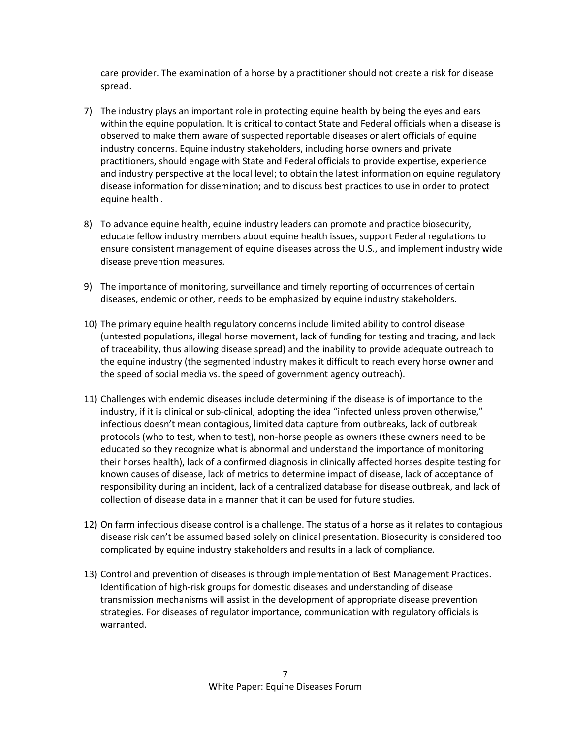care provider. The examination of a horse by a practitioner should not create a risk for disease spread.

- 7) The industry plays an important role in protecting equine health by being the eyes and ears within the equine population. It is critical to contact State and Federal officials when a disease is observed to make them aware of suspected reportable diseases or alert officials of equine industry concerns. Equine industry stakeholders, including horse owners and private practitioners, should engage with State and Federal officials to provide expertise, experience and industry perspective at the local level; to obtain the latest information on equine regulatory disease information for dissemination; and to discuss best practices to use in order to protect equine health .
- 8) To advance equine health, equine industry leaders can promote and practice biosecurity, educate fellow industry members about equine health issues, support Federal regulations to ensure consistent management of equine diseases across the U.S., and implement industry wide disease prevention measures.
- 9) The importance of monitoring, surveillance and timely reporting of occurrences of certain diseases, endemic or other, needs to be emphasized by equine industry stakeholders.
- 10) The primary equine health regulatory concerns include limited ability to control disease (untested populations, illegal horse movement, lack of funding for testing and tracing, and lack of traceability, thus allowing disease spread) and the inability to provide adequate outreach to the equine industry (the segmented industry makes it difficult to reach every horse owner and the speed of social media vs. the speed of government agency outreach).
- 11) Challenges with endemic diseases include determining if the disease is of importance to the industry, if it is clinical or sub-clinical, adopting the idea "infected unless proven otherwise," infectious doesn't mean contagious, limited data capture from outbreaks, lack of outbreak protocols (who to test, when to test), non-horse people as owners (these owners need to be educated so they recognize what is abnormal and understand the importance of monitoring their horses health), lack of a confirmed diagnosis in clinically affected horses despite testing for known causes of disease, lack of metrics to determine impact of disease, lack of acceptance of responsibility during an incident, lack of a centralized database for disease outbreak, and lack of collection of disease data in a manner that it can be used for future studies.
- 12) On farm infectious disease control is a challenge. The status of a horse as it relates to contagious disease risk can't be assumed based solely on clinical presentation. Biosecurity is considered too complicated by equine industry stakeholders and results in a lack of compliance.
- 13) Control and prevention of diseases is through implementation of Best Management Practices. Identification of high-risk groups for domestic diseases and understanding of disease transmission mechanisms will assist in the development of appropriate disease prevention strategies. For diseases of regulator importance, communication with regulatory officials is warranted.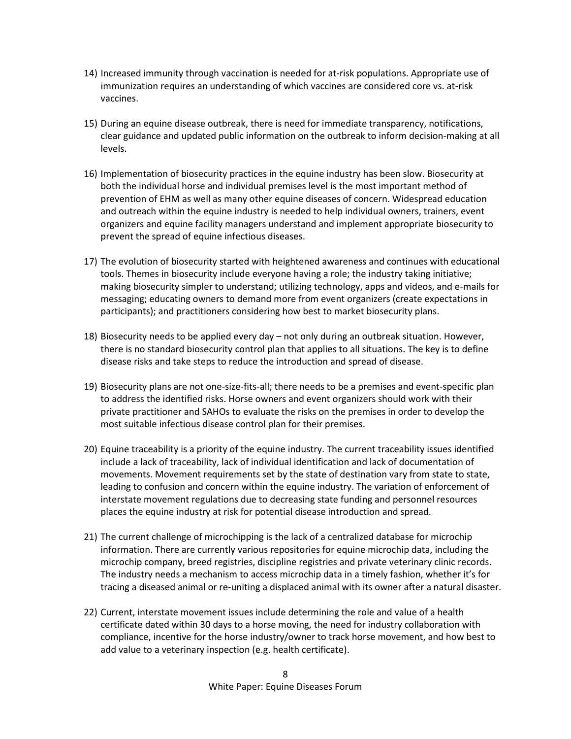- 14) Increased immunity through vaccination is needed for at-risk populations. Appropriate use of immunization requires an understanding of which vaccines are considered core vs. at-risk vaccines.
- 15) During an equine disease outbreak, there is need for immediate transparency, notifications, clear guidance and updated public information on the outbreak to inform decision-making at all levels.
- 16) Implementation of biosecurity practices in the equine industry has been slow. Biosecurity at both the individual horse and individual premises level is the most important method of prevention of EHM as well as many other equine diseases of concern. Widespread education and outreach within the equine industry is needed to help individual owners, trainers, event organizers and equine facility managers understand and implement appropriate biosecurity to prevent the spread of equine infectious diseases.
- 17) The evolution of biosecurity started with heightened awareness and continues with educational tools. Themes in biosecurity include everyone having a role; the industry taking initiative; making biosecurity simpler to understand; utilizing technology, apps and videos, and e-mails for messaging; educating owners to demand more from event organizers (create expectations in participants); and practitioners considering how best to market biosecurity plans.
- 18) Biosecurity needs to be applied every day not only during an outbreak situation. However, there is no standard biosecurity control plan that applies to all situations. The key is to define disease risks and take steps to reduce the introduction and spread of disease.
- 19) Biosecurity plans are not one-size-fits-all; there needs to be a premises and event-specific plan to address the identified risks. Horse owners and event organizers should work with their private practitioner and SAHOs to evaluate the risks on the premises in order to develop the most suitable infectious disease control plan for their premises.
- 20) Equine traceability is a priority of the equine industry. The current traceability issues identified include a lack of traceability, lack of individual identification and lack of documentation of movements. Movement requirements set by the state of destination vary from state to state, leading to confusion and concern within the equine industry. The variation of enforcement of interstate movement regulations due to decreasing state funding and personnel resources places the equine industry at risk for potential disease introduction and spread.
- 21) The current challenge of microchipping is the lack of a centralized database for microchip information. There are currently various repositories for equine microchip data, including the microchip company, breed registries, discipline registries and private veterinary clinic records. The industry needs a mechanism to access microchip data in a timely fashion, whether it's for tracing a diseased animal or re-uniting a displaced animal with its owner after a natural disaster.
- 22) Current, interstate movement issues include determining the role and value of a health certificate dated within 30 days to a horse moving, the need for industry collaboration with compliance, incentive for the horse industry/owner to track horse movement, and how best to add value to a veterinary inspection (e.g. health certificate).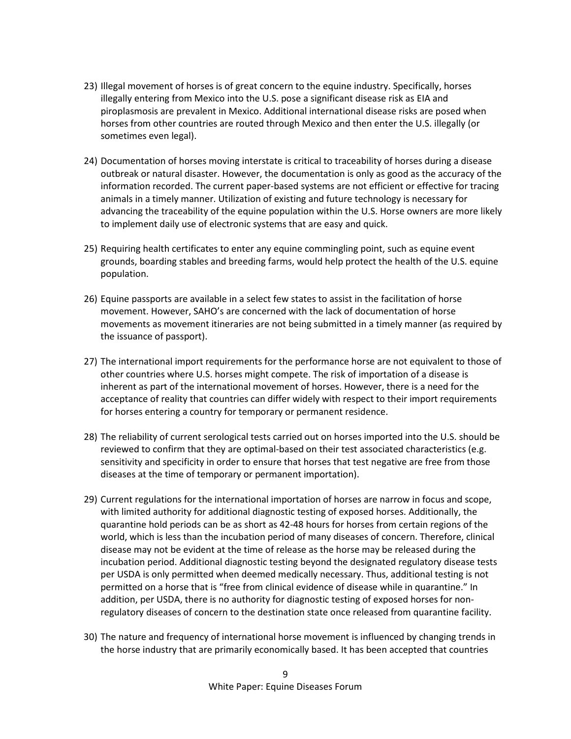- 23) Illegal movement of horses is of great concern to the equine industry. Specifically, horses illegally entering from Mexico into the U.S. pose a significant disease risk as EIA and piroplasmosis are prevalent in Mexico. Additional international disease risks are posed when horses from other countries are routed through Mexico and then enter the U.S. illegally (or sometimes even legal).
- 24) Documentation of horses moving interstate is critical to traceability of horses during a disease outbreak or natural disaster. However, the documentation is only as good as the accuracy of the information recorded. The current paper-based systems are not efficient or effective for tracing animals in a timely manner. Utilization of existing and future technology is necessary for advancing the traceability of the equine population within the U.S. Horse owners are more likely to implement daily use of electronic systems that are easy and quick.
- 25) Requiring health certificates to enter any equine commingling point, such as equine event grounds, boarding stables and breeding farms, would help protect the health of the U.S. equine population.
- 26) Equine passports are available in a select few states to assist in the facilitation of horse movement. However, SAHO's are concerned with the lack of documentation of horse movements as movement itineraries are not being submitted in a timely manner (as required by the issuance of passport).
- 27) The international import requirements for the performance horse are not equivalent to those of other countries where U.S. horses might compete. The risk of importation of a disease is inherent as part of the international movement of horses. However, there is a need for the acceptance of reality that countries can differ widely with respect to their import requirements for horses entering a country for temporary or permanent residence.
- 28) The reliability of current serological tests carried out on horses imported into the U.S. should be reviewed to confirm that they are optimal-based on their test associated characteristics (e.g. sensitivity and specificity in order to ensure that horses that test negative are free from those diseases at the time of temporary or permanent importation).
- 29) Current regulations for the international importation of horses are narrow in focus and scope, with limited authority for additional diagnostic testing of exposed horses. Additionally, the quarantine hold periods can be as short as 42-48 hours for horses from certain regions of the world, which is less than the incubation period of many diseases of concern. Therefore, clinical disease may not be evident at the time of release as the horse may be released during the incubation period. Additional diagnostic testing beyond the designated regulatory disease tests per USDA is only permitted when deemed medically necessary. Thus, additional testing is not permitted on a horse that is "free from clinical evidence of disease while in quarantine." In addition, per USDA, there is no authority for diagnostic testing of exposed horses for nonregulatory diseases of concern to the destination state once released from quarantine facility.
- 30) The nature and frequency of international horse movement is influenced by changing trends in the horse industry that are primarily economically based. It has been accepted that countries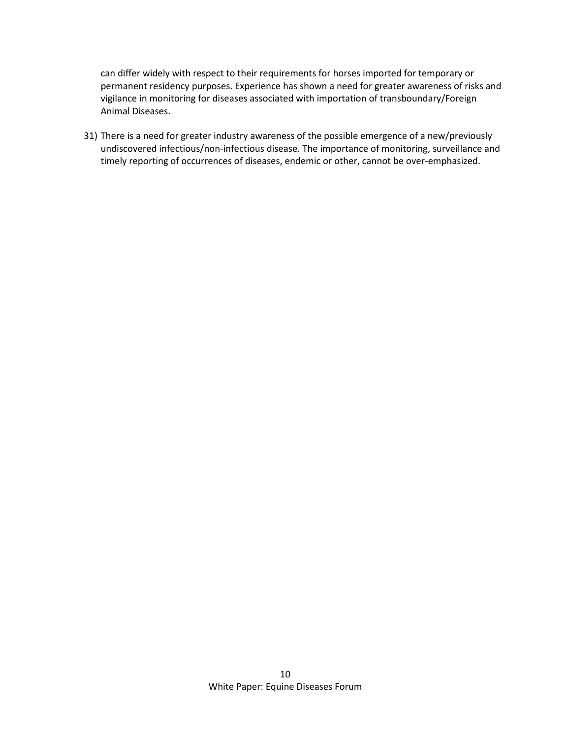can differ widely with respect to their requirements for horses imported for temporary or permanent residency purposes. Experience has shown a need for greater awareness of risks and vigilance in monitoring for diseases associated with importation of transboundary/Foreign Animal Diseases.

31) There is a need for greater industry awareness of the possible emergence of a new/previously undiscovered infectious/non-infectious disease. The importance of monitoring, surveillance and timely reporting of occurrences of diseases, endemic or other, cannot be over-emphasized.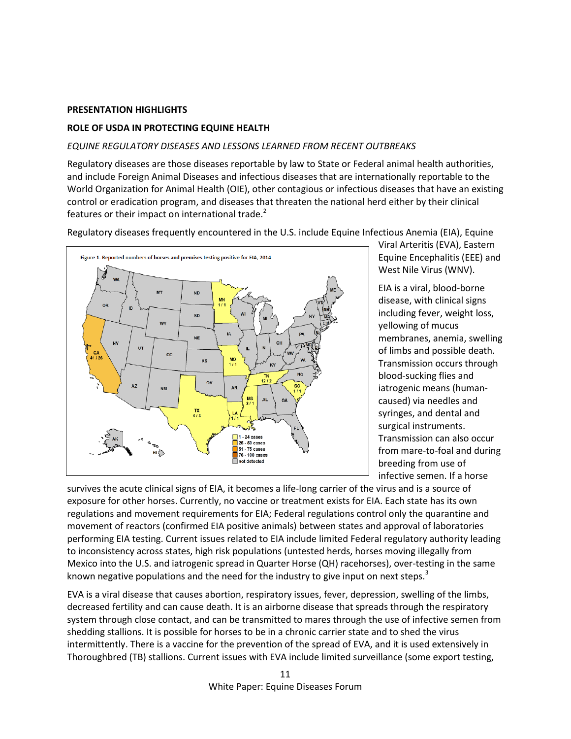### **PRESENTATION HIGHLIGHTS**

## **ROLE OF USDA IN PROTECTING EQUINE HEALTH**

### *EQUINE REGULATORY DISEASES AND LESSONS LEARNED FROM RECENT OUTBREAKS*

Regulatory diseases are those diseases reportable by law to State or Federal animal health authorities, and include Foreign Animal Diseases and infectious diseases that are internationally reportable to the World Organization for Animal Health (OIE), other contagious or infectious diseases that have an existing control or eradication program, and diseases that threaten the national herd either by their clinical features or their impact on international trade. $2$ 

Regulatory diseases frequently encountered in the U.S. include Equine Infectious Anemia (EIA), Equine



Viral Arteritis (EVA), Eastern Equine Encephalitis (EEE) and West Nile Virus (WNV).

EIA is a viral, blood-borne disease, with clinical signs including fever, weight loss, yellowing of mucus membranes, anemia, swelling of limbs and possible death. Transmission occurs through blood-sucking flies and iatrogenic means (humancaused) via needles and syringes, and dental and surgical instruments. Transmission can also occur from mare-to-foal and during breeding from use of infective semen. If a horse

survives the acute clinical signs of EIA, it becomes a life-long carrier of the virus and is a source of exposure for other horses. Currently, no vaccine or treatment exists for EIA. Each state has its own regulations and movement requirements for EIA; Federal regulations control only the quarantine and movement of reactors (confirmed EIA positive animals) between states and approval of laboratories performing EIA testing. Current issues related to EIA include limited Federal regulatory authority leading to inconsistency across states, high risk populations (untested herds, horses moving illegally from Mexico into the U.S. and iatrogenic spread in Quarter Horse (QH) racehorses), over-testing in the same known negative populations and the need for the industry to give input on next steps.<sup>3</sup>

EVA is a viral disease that causes abortion, respiratory issues, fever, depression, swelling of the limbs, decreased fertility and can cause death. It is an airborne disease that spreads through the respiratory system through close contact, and can be transmitted to mares through the use of infective semen from shedding stallions. It is possible for horses to be in a chronic carrier state and to shed the virus intermittently. There is a vaccine for the prevention of the spread of EVA, and it is used extensively in Thoroughbred (TB) stallions. Current issues with EVA include limited surveillance (some export testing,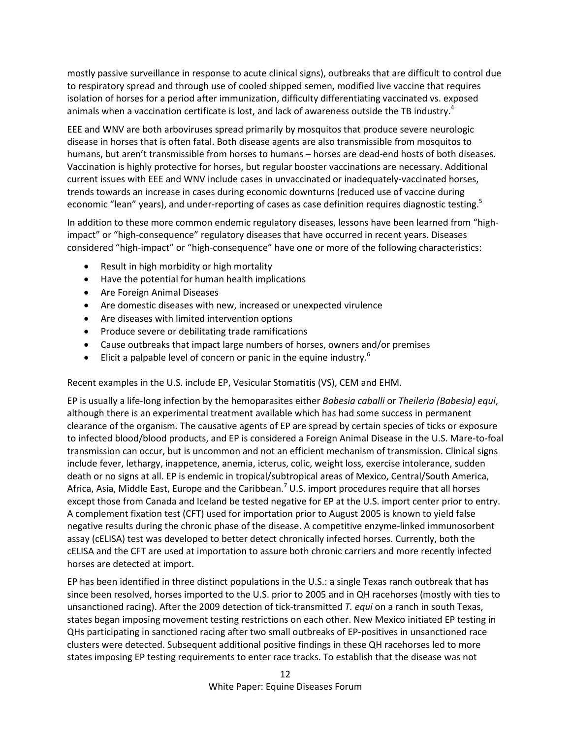mostly passive surveillance in response to acute clinical signs), outbreaks that are difficult to control due to respiratory spread and through use of cooled shipped semen, modified live vaccine that requires isolation of horses for a period after immunization, difficulty differentiating vaccinated vs. exposed animals when a vaccination certificate is lost, and lack of awareness outside the TB industry.<sup>4</sup>

EEE and WNV are both arboviruses spread primarily by mosquitos that produce severe neurologic disease in horses that is often fatal. Both disease agents are also transmissible from mosquitos to humans, but aren't transmissible from horses to humans – horses are dead-end hosts of both diseases. Vaccination is highly protective for horses, but regular booster vaccinations are necessary. Additional current issues with EEE and WNV include cases in unvaccinated or inadequately-vaccinated horses, trends towards an increase in cases during economic downturns (reduced use of vaccine during economic "lean" years), and under-reporting of cases as case definition requires diagnostic testing.<sup>5</sup>

In addition to these more common endemic regulatory diseases, lessons have been learned from "highimpact" or "high-consequence" regulatory diseases that have occurred in recent years. Diseases considered "high-impact" or "high-consequence" have one or more of the following characteristics:

- Result in high morbidity or high mortality
- Have the potential for human health implications
- Are Foreign Animal Diseases
- Are domestic diseases with new, increased or unexpected virulence
- Are diseases with limited intervention options
- Produce severe or debilitating trade ramifications
- Cause outbreaks that impact large numbers of horses, owners and/or premises
- Elicit a palpable level of concern or panic in the equine industry.<sup>6</sup>

Recent examples in the U.S. include EP, Vesicular Stomatitis (VS), CEM and EHM.

EP is usually a life-long infection by the hemoparasites either *Babesia caballi* or *Theileria (Babesia) equi*, although there is an experimental treatment available which has had some success in permanent clearance of the organism*.* The causative agents of EP are spread by certain species of ticks or exposure to infected blood/blood products, and EP is considered a Foreign Animal Disease in the U.S. Mare-to-foal transmission can occur, but is uncommon and not an efficient mechanism of transmission. Clinical signs include fever, lethargy, inappetence, anemia, icterus, colic, weight loss, exercise intolerance, sudden death or no signs at all. EP is endemic in tropical/subtropical areas of Mexico, Central/South America, Africa, Asia, Middle East, Europe and the Caribbean.<sup>7</sup> U.S. import procedures require that all horses except those from Canada and Iceland be tested negative for EP at the U.S. import center prior to entry. A complement fixation test (CFT) used for importation prior to August 2005 is known to yield false negative results during the chronic phase of the disease. A competitive enzyme-linked immunosorbent assay (cELISA) test was developed to better detect chronically infected horses. Currently, both the cELISA and the CFT are used at importation to assure both chronic carriers and more recently infected horses are detected at import.

EP has been identified in three distinct populations in the U.S.: a single Texas ranch outbreak that has since been resolved, horses imported to the U.S. prior to 2005 and in QH racehorses (mostly with ties to unsanctioned racing). After the 2009 detection of tick-transmitted *T. equi* on a ranch in south Texas, states began imposing movement testing restrictions on each other. New Mexico initiated EP testing in QHs participating in sanctioned racing after two small outbreaks of EP-positives in unsanctioned race clusters were detected. Subsequent additional positive findings in these QH racehorses led to more states imposing EP testing requirements to enter race tracks. To establish that the disease was not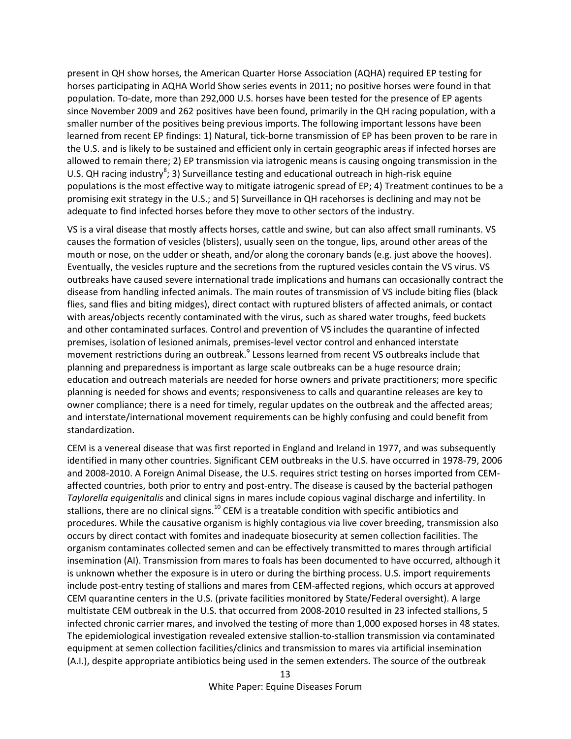present in QH show horses, the American Quarter Horse Association (AQHA) required EP testing for horses participating in AQHA World Show series events in 2011; no positive horses were found in that population. To-date, more than 292,000 U.S. horses have been tested for the presence of EP agents since November 2009 and 262 positives have been found, primarily in the QH racing population, with a smaller number of the positives being previous imports. The following important lessons have been learned from recent EP findings: 1) Natural, tick-borne transmission of EP has been proven to be rare in the U.S. and is likely to be sustained and efficient only in certain geographic areas if infected horses are allowed to remain there; 2) EP transmission via iatrogenic means is causing ongoing transmission in the U.S. QH racing industry<sup>8</sup>; 3) Surveillance testing and educational outreach in high-risk equine populations is the most effective way to mitigate iatrogenic spread of EP; 4) Treatment continues to be a promising exit strategy in the U.S.; and 5) Surveillance in QH racehorses is declining and may not be adequate to find infected horses before they move to other sectors of the industry.

VS is a viral disease that mostly affects horses, cattle and swine, but can also affect small ruminants. VS causes the formation of vesicles (blisters), usually seen on the tongue, lips, around other areas of the mouth or nose, on the udder or sheath, and/or along the coronary bands (e.g. just above the hooves). Eventually, the vesicles rupture and the secretions from the ruptured vesicles contain the VS virus. VS outbreaks have caused severe international trade implications and humans can occasionally contract the disease from handling infected animals. The main routes of transmission of VS include biting flies (black flies, sand flies and biting midges), direct contact with ruptured blisters of affected animals, or contact with areas/objects recently contaminated with the virus, such as shared water troughs, feed buckets and other contaminated surfaces. Control and prevention of VS includes the quarantine of infected premises, isolation of lesioned animals, premises-level vector control and enhanced interstate movement restrictions during an outbreak.<sup>9</sup> Lessons learned from recent VS outbreaks include that planning and preparedness is important as large scale outbreaks can be a huge resource drain; education and outreach materials are needed for horse owners and private practitioners; more specific planning is needed for shows and events; responsiveness to calls and quarantine releases are key to owner compliance; there is a need for timely, regular updates on the outbreak and the affected areas; and interstate/international movement requirements can be highly confusing and could benefit from standardization.

CEM is a venereal disease that was first reported in England and Ireland in 1977, and was subsequently identified in many other countries. Significant CEM outbreaks in the U.S. have occurred in 1978-79, 2006 and 2008-2010. A Foreign Animal Disease, the U.S. requires strict testing on horses imported from CEMaffected countries, both prior to entry and post-entry. The disease is caused by the bacterial pathogen *Taylorella equigenitalis* and clinical signs in mares include copious vaginal discharge and infertility. In stallions, there are no clinical signs.<sup>10</sup> CEM is a treatable condition with specific antibiotics and procedures. While the causative organism is highly contagious via live cover breeding, transmission also occurs by direct contact with fomites and inadequate biosecurity at semen collection facilities. The organism contaminates collected semen and can be effectively transmitted to mares through artificial insemination (AI). Transmission from mares to foals has been documented to have occurred, although it is unknown whether the exposure is in utero or during the birthing process. U.S. import requirements include post-entry testing of stallions and mares from CEM-affected regions, which occurs at approved CEM quarantine centers in the U.S. (private facilities monitored by State/Federal oversight). A large multistate CEM outbreak in the U.S. that occurred from 2008-2010 resulted in 23 infected stallions, 5 infected chronic carrier mares, and involved the testing of more than 1,000 exposed horses in 48 states. The epidemiological investigation revealed extensive stallion-to-stallion transmission via contaminated equipment at semen collection facilities/clinics and transmission to mares via artificial insemination (A.I.), despite appropriate antibiotics being used in the semen extenders. The source of the outbreak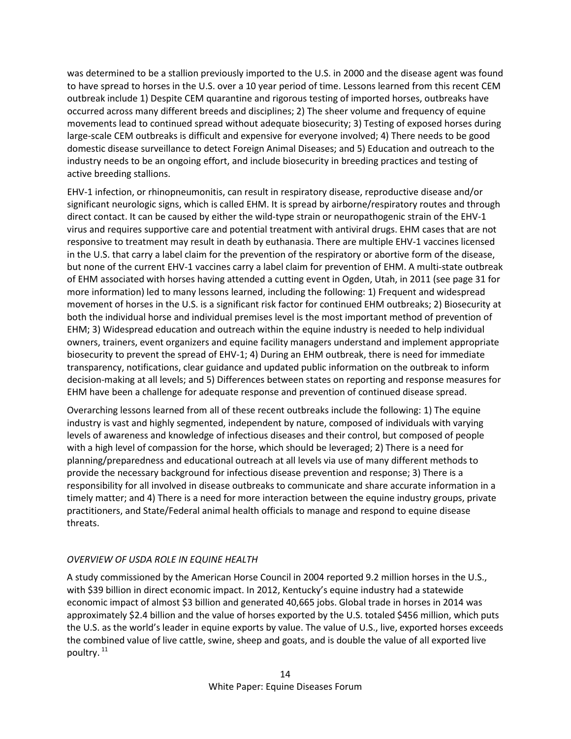was determined to be a stallion previously imported to the U.S. in 2000 and the disease agent was found to have spread to horses in the U.S. over a 10 year period of time. Lessons learned from this recent CEM outbreak include 1) Despite CEM quarantine and rigorous testing of imported horses, outbreaks have occurred across many different breeds and disciplines; 2) The sheer volume and frequency of equine movements lead to continued spread without adequate biosecurity; 3) Testing of exposed horses during large-scale CEM outbreaks is difficult and expensive for everyone involved; 4) There needs to be good domestic disease surveillance to detect Foreign Animal Diseases; and 5) Education and outreach to the industry needs to be an ongoing effort, and include biosecurity in breeding practices and testing of active breeding stallions.

EHV-1 infection, or rhinopneumonitis, can result in respiratory disease, reproductive disease and/or significant neurologic signs, which is called EHM. It is spread by airborne/respiratory routes and through direct contact. It can be caused by either the wild-type strain or neuropathogenic strain of the EHV-1 virus and requires supportive care and potential treatment with antiviral drugs. EHM cases that are not responsive to treatment may result in death by euthanasia. There are multiple EHV-1 vaccines licensed in the U.S. that carry a label claim for the prevention of the respiratory or abortive form of the disease, but none of the current EHV-1 vaccines carry a label claim for prevention of EHM. A multi-state outbreak of EHM associated with horses having attended a cutting event in Ogden, Utah, in 2011 (see page 31 for more information) led to many lessons learned, including the following: 1) Frequent and widespread movement of horses in the U.S. is a significant risk factor for continued EHM outbreaks; 2) Biosecurity at both the individual horse and individual premises level is the most important method of prevention of EHM; 3) Widespread education and outreach within the equine industry is needed to help individual owners, trainers, event organizers and equine facility managers understand and implement appropriate biosecurity to prevent the spread of EHV-1; 4) During an EHM outbreak, there is need for immediate transparency, notifications, clear guidance and updated public information on the outbreak to inform decision-making at all levels; and 5) Differences between states on reporting and response measures for EHM have been a challenge for adequate response and prevention of continued disease spread.

Overarching lessons learned from all of these recent outbreaks include the following: 1) The equine industry is vast and highly segmented, independent by nature, composed of individuals with varying levels of awareness and knowledge of infectious diseases and their control, but composed of people with a high level of compassion for the horse, which should be leveraged; 2) There is a need for planning/preparedness and educational outreach at all levels via use of many different methods to provide the necessary background for infectious disease prevention and response; 3) There is a responsibility for all involved in disease outbreaks to communicate and share accurate information in a timely matter; and 4) There is a need for more interaction between the equine industry groups, private practitioners, and State/Federal animal health officials to manage and respond to equine disease threats.

# *OVERVIEW OF USDA ROLE IN EQUINE HEALTH*

A study commissioned by the American Horse Council in 2004 reported 9.2 million horses in the U.S., with \$39 billion in direct economic impact. In 2012, Kentucky's equine industry had a statewide economic impact of almost \$3 billion and generated 40,665 jobs. Global trade in horses in 2014 was approximately \$2.4 billion and the value of horses exported by the U.S. totaled \$456 million, which puts the U.S. as the world's leader in equine exports by value. The value of U.S., live, exported horses exceeds the combined value of live cattle, swine, sheep and goats, and is double the value of all exported live poultry.<sup>11</sup>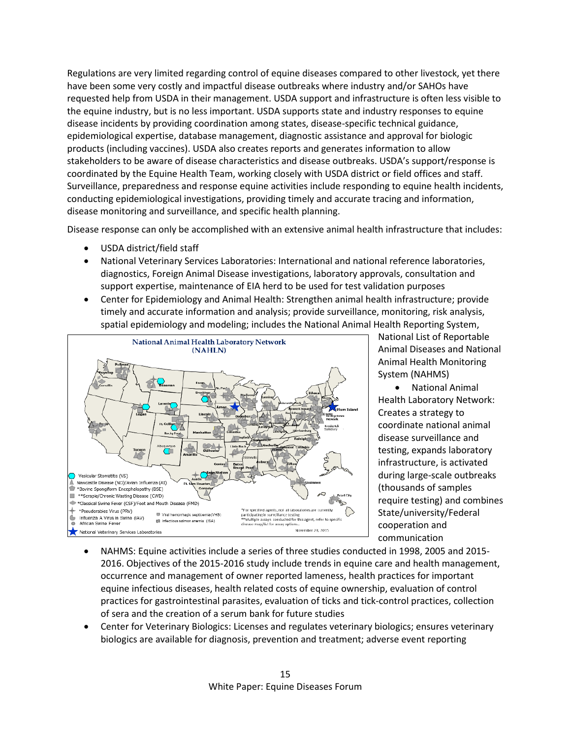Regulations are very limited regarding control of equine diseases compared to other livestock, yet there have been some very costly and impactful disease outbreaks where industry and/or SAHOs have requested help from USDA in their management. USDA support and infrastructure is often less visible to the equine industry, but is no less important. USDA supports state and industry responses to equine disease incidents by providing coordination among states, disease-specific technical guidance, epidemiological expertise, database management, diagnostic assistance and approval for biologic products (including vaccines). USDA also creates reports and generates information to allow stakeholders to be aware of disease characteristics and disease outbreaks. USDA's support/response is coordinated by the Equine Health Team, working closely with USDA district or field offices and staff. Surveillance, preparedness and response equine activities include responding to equine health incidents, conducting epidemiological investigations, providing timely and accurate tracing and information, disease monitoring and surveillance, and specific health planning.

Disease response can only be accomplished with an extensive animal health infrastructure that includes:

- USDA district/field staff
- National Veterinary Services Laboratories: International and national reference laboratories, diagnostics, Foreign Animal Disease investigations, laboratory approvals, consultation and support expertise, maintenance of EIA herd to be used for test validation purposes
- Center for Epidemiology and Animal Health: Strengthen animal health infrastructure; provide timely and accurate information and analysis; provide surveillance, monitoring, risk analysis, spatial epidemiology and modeling; includes the National Animal Health Reporting System,



National List of Reportable Animal Diseases and National Animal Health Monitoring System (NAHMS)

• National Animal Health Laboratory Network: Creates a strategy to coordinate national animal disease surveillance and testing, expands laboratory infrastructure, is activated during large-scale outbreaks (thousands of samples require testing) and combines State/university/Federal cooperation and communication

- NAHMS: Equine activities include a series of three studies conducted in 1998, 2005 and 2015- 2016. Objectives of the 2015-2016 study include trends in equine care and health management, occurrence and management of owner reported lameness, health practices for important equine infectious diseases, health related costs of equine ownership, evaluation of control practices for gastrointestinal parasites, evaluation of ticks and tick-control practices, collection of sera and the creation of a serum bank for future studies
- Center for Veterinary Biologics: Licenses and regulates veterinary biologics; ensures veterinary biologics are available for diagnosis, prevention and treatment; adverse event reporting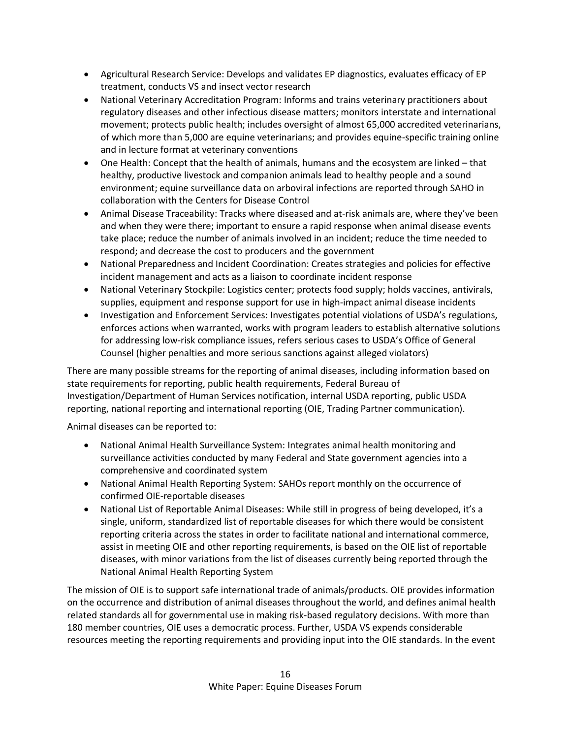- Agricultural Research Service: Develops and validates EP diagnostics, evaluates efficacy of EP treatment, conducts VS and insect vector research
- National Veterinary Accreditation Program: Informs and trains veterinary practitioners about regulatory diseases and other infectious disease matters; monitors interstate and international movement; protects public health; includes oversight of almost 65,000 accredited veterinarians, of which more than 5,000 are equine veterinarians; and provides equine-specific training online and in lecture format at veterinary conventions
- One Health: Concept that the health of animals, humans and the ecosystem are linked that healthy, productive livestock and companion animals lead to healthy people and a sound environment; equine surveillance data on arboviral infections are reported through SAHO in collaboration with the Centers for Disease Control
- Animal Disease Traceability: Tracks where diseased and at-risk animals are, where they've been and when they were there; important to ensure a rapid response when animal disease events take place; reduce the number of animals involved in an incident; reduce the time needed to respond; and decrease the cost to producers and the government
- National Preparedness and Incident Coordination: Creates strategies and policies for effective incident management and acts as a liaison to coordinate incident response
- National Veterinary Stockpile: Logistics center; protects food supply; holds vaccines, antivirals, supplies, equipment and response support for use in high-impact animal disease incidents
- Investigation and Enforcement Services: Investigates potential violations of USDA's regulations, enforces actions when warranted, works with program leaders to establish alternative solutions for addressing low-risk compliance issues, refers serious cases to USDA's Office of General Counsel (higher penalties and more serious sanctions against alleged violators)

There are many possible streams for the reporting of animal diseases, including information based on state requirements for reporting, public health requirements, Federal Bureau of Investigation/Department of Human Services notification, internal USDA reporting, public USDA reporting, national reporting and international reporting (OIE, Trading Partner communication).

Animal diseases can be reported to:

- National Animal Health Surveillance System: Integrates animal health monitoring and surveillance activities conducted by many Federal and State government agencies into a comprehensive and coordinated system
- National Animal Health Reporting System: SAHOs report monthly on the occurrence of confirmed OIE-reportable diseases
- National List of Reportable Animal Diseases: While still in progress of being developed, it's a single, uniform, standardized list of reportable diseases for which there would be consistent reporting criteria across the states in order to facilitate national and international commerce, assist in meeting OIE and other reporting requirements, is based on the OIE list of reportable diseases, with minor variations from the list of diseases currently being reported through the National Animal Health Reporting System

The mission of OIE is to support safe international trade of animals/products. OIE provides information on the occurrence and distribution of animal diseases throughout the world, and defines animal health related standards all for governmental use in making risk-based regulatory decisions. With more than 180 member countries, OIE uses a democratic process. Further, USDA VS expends considerable resources meeting the reporting requirements and providing input into the OIE standards. In the event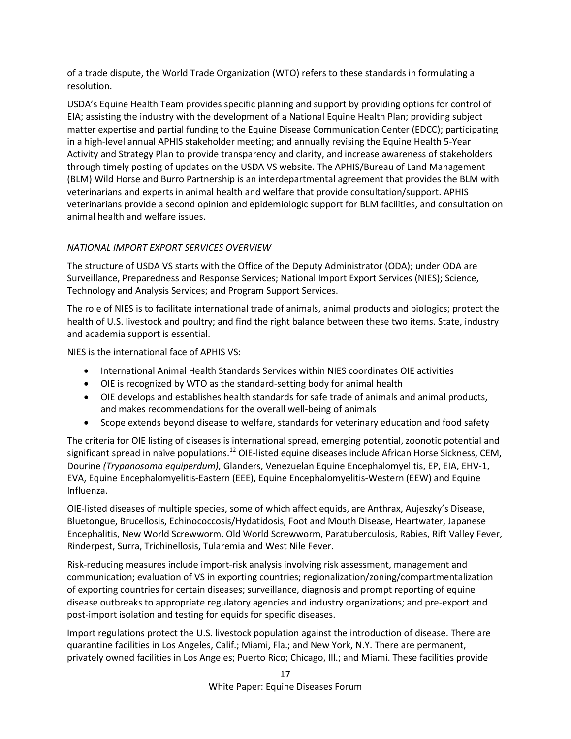of a trade dispute, the World Trade Organization (WTO) refers to these standards in formulating a resolution.

USDA's Equine Health Team provides specific planning and support by providing options for control of EIA; assisting the industry with the development of a National Equine Health Plan; providing subject matter expertise and partial funding to the Equine Disease Communication Center (EDCC); participating in a high-level annual APHIS stakeholder meeting; and annually revising the Equine Health 5-Year Activity and Strategy Plan to provide transparency and clarity, and increase awareness of stakeholders through timely posting of updates on the USDA VS website. The APHIS/Bureau of Land Management (BLM) Wild Horse and Burro Partnership is an interdepartmental agreement that provides the BLM with veterinarians and experts in animal health and welfare that provide consultation/support. APHIS veterinarians provide a second opinion and epidemiologic support for BLM facilities, and consultation on animal health and welfare issues.

# *NATIONAL IMPORT EXPORT SERVICES OVERVIEW*

The structure of USDA VS starts with the Office of the Deputy Administrator (ODA); under ODA are Surveillance, Preparedness and Response Services; National Import Export Services (NIES); Science, Technology and Analysis Services; and Program Support Services.

The role of NIES is to facilitate international trade of animals, animal products and biologics; protect the health of U.S. livestock and poultry; and find the right balance between these two items. State, industry and academia support is essential.

NIES is the international face of APHIS VS:

- International Animal Health Standards Services within NIES coordinates OIE activities
- OIE is recognized by WTO as the standard-setting body for animal health
- OIE develops and establishes health standards for safe trade of animals and animal products, and makes recommendations for the overall well-being of animals
- Scope extends beyond disease to welfare, standards for veterinary education and food safety

The criteria for OIE listing of diseases is international spread, emerging potential, zoonotic potential and significant spread in naïve populations.<sup>12</sup> OIE-listed equine diseases include African Horse Sickness, CEM, Dourine *(Trypanosoma equiperdum),* Glanders, Venezuelan Equine Encephalomyelitis, EP, EIA, EHV-1, EVA, Equine Encephalomyelitis-Eastern (EEE), Equine Encephalomyelitis-Western (EEW) and Equine Influenza.

OIE-listed diseases of multiple species, some of which affect equids, are Anthrax, Aujeszky's Disease, Bluetongue, Brucellosis, Echinococcosis/Hydatidosis, Foot and Mouth Disease, Heartwater, Japanese Encephalitis, New World Screwworm, Old World Screwworm, Paratuberculosis, Rabies, Rift Valley Fever, Rinderpest, Surra, Trichinellosis, Tularemia and West Nile Fever.

Risk-reducing measures include import-risk analysis involving risk assessment, management and communication; evaluation of VS in exporting countries; regionalization/zoning/compartmentalization of exporting countries for certain diseases; surveillance, diagnosis and prompt reporting of equine disease outbreaks to appropriate regulatory agencies and industry organizations; and pre-export and post-import isolation and testing for equids for specific diseases.

Import regulations protect the U.S. livestock population against the introduction of disease. There are quarantine facilities in Los Angeles, Calif.; Miami, Fla.; and New York, N.Y. There are permanent, privately owned facilities in Los Angeles; Puerto Rico; Chicago, Ill.; and Miami. These facilities provide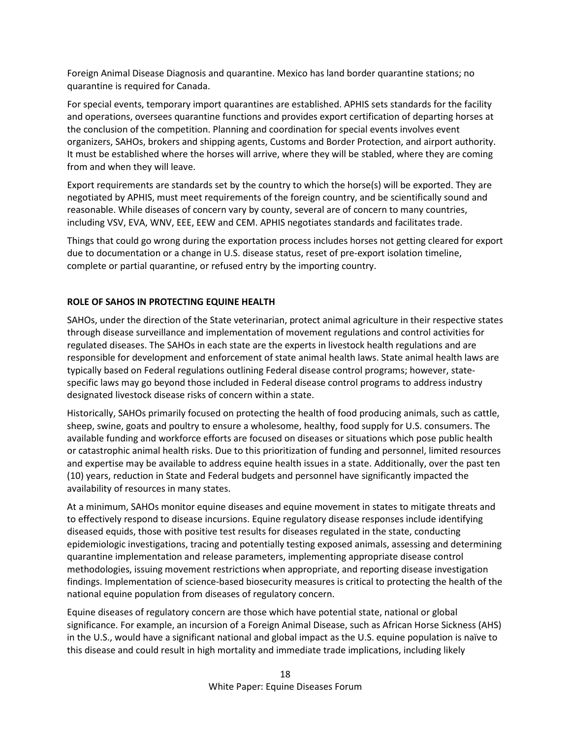Foreign Animal Disease Diagnosis and quarantine. Mexico has land border quarantine stations; no quarantine is required for Canada.

For special events, temporary import quarantines are established. APHIS sets standards for the facility and operations, oversees quarantine functions and provides export certification of departing horses at the conclusion of the competition. Planning and coordination for special events involves event organizers, SAHOs, brokers and shipping agents, Customs and Border Protection, and airport authority. It must be established where the horses will arrive, where they will be stabled, where they are coming from and when they will leave.

Export requirements are standards set by the country to which the horse(s) will be exported. They are negotiated by APHIS, must meet requirements of the foreign country, and be scientifically sound and reasonable. While diseases of concern vary by county, several are of concern to many countries, including VSV, EVA, WNV, EEE, EEW and CEM. APHIS negotiates standards and facilitates trade.

Things that could go wrong during the exportation process includes horses not getting cleared for export due to documentation or a change in U.S. disease status, reset of pre-export isolation timeline, complete or partial quarantine, or refused entry by the importing country.

## **ROLE OF SAHOS IN PROTECTING EQUINE HEALTH**

SAHOs, under the direction of the State veterinarian, protect animal agriculture in their respective states through disease surveillance and implementation of movement regulations and control activities for regulated diseases. The SAHOs in each state are the experts in livestock health regulations and are responsible for development and enforcement of state animal health laws. State animal health laws are typically based on Federal regulations outlining Federal disease control programs; however, statespecific laws may go beyond those included in Federal disease control programs to address industry designated livestock disease risks of concern within a state.

Historically, SAHOs primarily focused on protecting the health of food producing animals, such as cattle, sheep, swine, goats and poultry to ensure a wholesome, healthy, food supply for U.S. consumers. The available funding and workforce efforts are focused on diseases or situations which pose public health or catastrophic animal health risks. Due to this prioritization of funding and personnel, limited resources and expertise may be available to address equine health issues in a state. Additionally, over the past ten (10) years, reduction in State and Federal budgets and personnel have significantly impacted the availability of resources in many states.

At a minimum, SAHOs monitor equine diseases and equine movement in states to mitigate threats and to effectively respond to disease incursions. Equine regulatory disease responses include identifying diseased equids, those with positive test results for diseases regulated in the state, conducting epidemiologic investigations, tracing and potentially testing exposed animals, assessing and determining quarantine implementation and release parameters, implementing appropriate disease control methodologies, issuing movement restrictions when appropriate, and reporting disease investigation findings. Implementation of science-based biosecurity measures is critical to protecting the health of the national equine population from diseases of regulatory concern.

Equine diseases of regulatory concern are those which have potential state, national or global significance. For example, an incursion of a Foreign Animal Disease, such as African Horse Sickness (AHS) in the U.S., would have a significant national and global impact as the U.S. equine population is naïve to this disease and could result in high mortality and immediate trade implications, including likely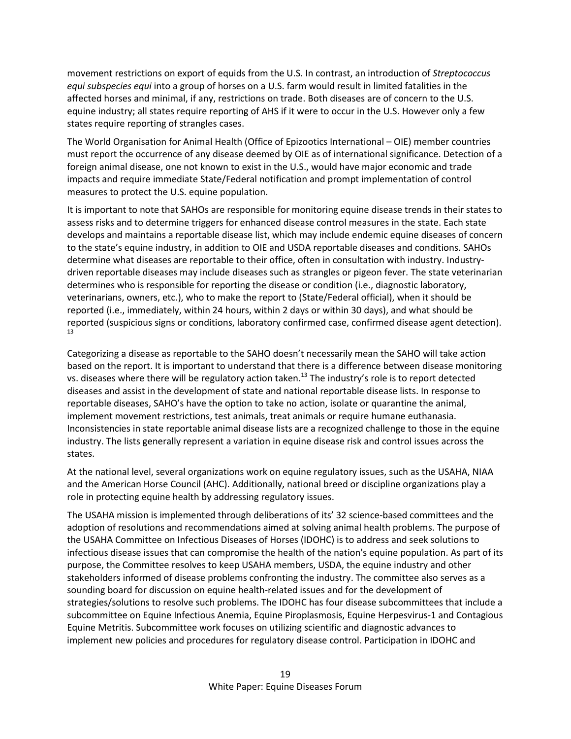movement restrictions on export of equids from the U.S. In contrast, an introduction of *Streptococcus equi subspecies equi* into a group of horses on a U.S. farm would result in limited fatalities in the affected horses and minimal, if any, restrictions on trade. Both diseases are of concern to the U.S. equine industry; all states require reporting of AHS if it were to occur in the U.S. However only a few states require reporting of strangles cases.

The World Organisation for Animal Health (Office of Epizootics International – OIE) member countries must report the occurrence of any disease deemed by OIE as of international significance. Detection of a foreign animal disease, one not known to exist in the U.S., would have major economic and trade impacts and require immediate State/Federal notification and prompt implementation of control measures to protect the U.S. equine population.

It is important to note that SAHOs are responsible for monitoring equine disease trends in their states to assess risks and to determine triggers for enhanced disease control measures in the state. Each state develops and maintains a reportable disease list, which may include endemic equine diseases of concern to the state's equine industry, in addition to OIE and USDA reportable diseases and conditions. SAHOs determine what diseases are reportable to their office, often in consultation with industry. Industrydriven reportable diseases may include diseases such as strangles or pigeon fever. The state veterinarian determines who is responsible for reporting the disease or condition (i.e., diagnostic laboratory, veterinarians, owners, etc.), who to make the report to (State/Federal official), when it should be reported (i.e., immediately, within 24 hours, within 2 days or within 30 days), and what should be reported (suspicious signs or conditions, laboratory confirmed case, confirmed disease agent detection). 13

Categorizing a disease as reportable to the SAHO doesn't necessarily mean the SAHO will take action based on the report. It is important to understand that there is a difference between disease monitoring vs. diseases where there will be regulatory action taken.<sup>13</sup> The industry's role is to report detected diseases and assist in the development of state and national reportable disease lists. In response to reportable diseases, SAHO's have the option to take no action, isolate or quarantine the animal, implement movement restrictions, test animals, treat animals or require humane euthanasia. Inconsistencies in state reportable animal disease lists are a recognized challenge to those in the equine industry. The lists generally represent a variation in equine disease risk and control issues across the states.

At the national level, several organizations work on equine regulatory issues, such as the USAHA, NIAA and the American Horse Council (AHC). Additionally, national breed or discipline organizations play a role in protecting equine health by addressing regulatory issues.

The USAHA mission is implemented through deliberations of its' 32 science-based committees and the adoption of resolutions and recommendations aimed at solving animal health problems. The purpose of the USAHA Committee on Infectious Diseases of Horses (IDOHC) is to address and seek solutions to infectious disease issues that can compromise the health of the nation's equine population. As part of its purpose, the Committee resolves to keep USAHA members, USDA, the equine industry and other stakeholders informed of disease problems confronting the industry. The committee also serves as a sounding board for discussion on equine health-related issues and for the development of strategies/solutions to resolve such problems. The IDOHC has four disease subcommittees that include a subcommittee on Equine Infectious Anemia, Equine Piroplasmosis, Equine Herpesvirus-1 and Contagious Equine Metritis. Subcommittee work focuses on utilizing scientific and diagnostic advances to implement new policies and procedures for regulatory disease control. Participation in IDOHC and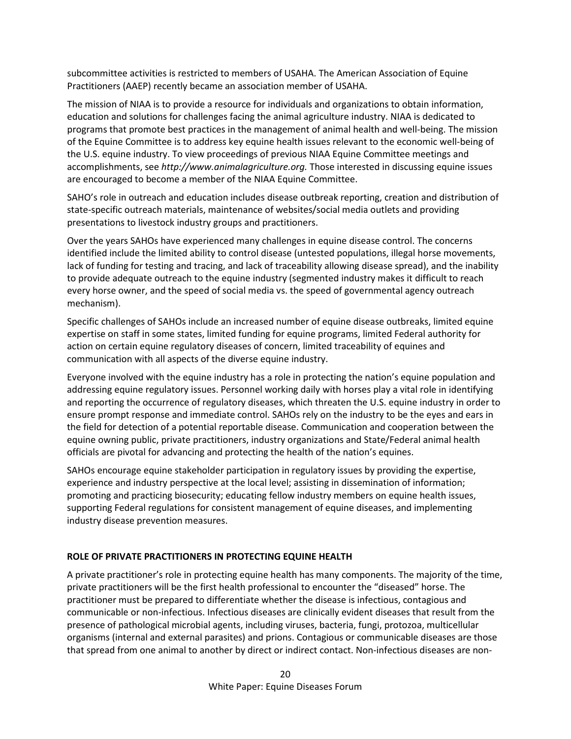subcommittee activities is restricted to members of USAHA. The American Association of Equine Practitioners (AAEP) recently became an association member of USAHA.

The mission of NIAA is to provide a resource for individuals and organizations to obtain information, education and solutions for challenges facing the animal agriculture industry. NIAA is dedicated to programs that promote best practices in the management of animal health and well-being. The mission of the Equine Committee is to address key equine health issues relevant to the economic well-being of the U.S. equine industry. To view proceedings of previous NIAA Equine Committee meetings and accomplishments, see *http://www.animalagriculture.org.* Those interested in discussing equine issues are encouraged to become a member of the NIAA Equine Committee.

SAHO's role in outreach and education includes disease outbreak reporting, creation and distribution of state-specific outreach materials, maintenance of websites/social media outlets and providing presentations to livestock industry groups and practitioners.

Over the years SAHOs have experienced many challenges in equine disease control. The concerns identified include the limited ability to control disease (untested populations, illegal horse movements, lack of funding for testing and tracing, and lack of traceability allowing disease spread), and the inability to provide adequate outreach to the equine industry (segmented industry makes it difficult to reach every horse owner, and the speed of social media vs. the speed of governmental agency outreach mechanism).

Specific challenges of SAHOs include an increased number of equine disease outbreaks, limited equine expertise on staff in some states, limited funding for equine programs, limited Federal authority for action on certain equine regulatory diseases of concern, limited traceability of equines and communication with all aspects of the diverse equine industry.

Everyone involved with the equine industry has a role in protecting the nation's equine population and addressing equine regulatory issues. Personnel working daily with horses play a vital role in identifying and reporting the occurrence of regulatory diseases, which threaten the U.S. equine industry in order to ensure prompt response and immediate control. SAHOs rely on the industry to be the eyes and ears in the field for detection of a potential reportable disease. Communication and cooperation between the equine owning public, private practitioners, industry organizations and State/Federal animal health officials are pivotal for advancing and protecting the health of the nation's equines.

SAHOs encourage equine stakeholder participation in regulatory issues by providing the expertise, experience and industry perspective at the local level; assisting in dissemination of information; promoting and practicing biosecurity; educating fellow industry members on equine health issues, supporting Federal regulations for consistent management of equine diseases, and implementing industry disease prevention measures.

## **ROLE OF PRIVATE PRACTITIONERS IN PROTECTING EQUINE HEALTH**

A private practitioner's role in protecting equine health has many components. The majority of the time, private practitioners will be the first health professional to encounter the "diseased" horse. The practitioner must be prepared to differentiate whether the disease is infectious, contagious and communicable or non-infectious. Infectious diseases are clinically evident diseases that result from the presence of pathological microbial agents, including viruses, bacteria, fungi, protozoa, multicellular organisms (internal and external parasites) and prions. Contagious or communicable diseases are those that spread from one animal to another by direct or indirect contact. Non-infectious diseases are non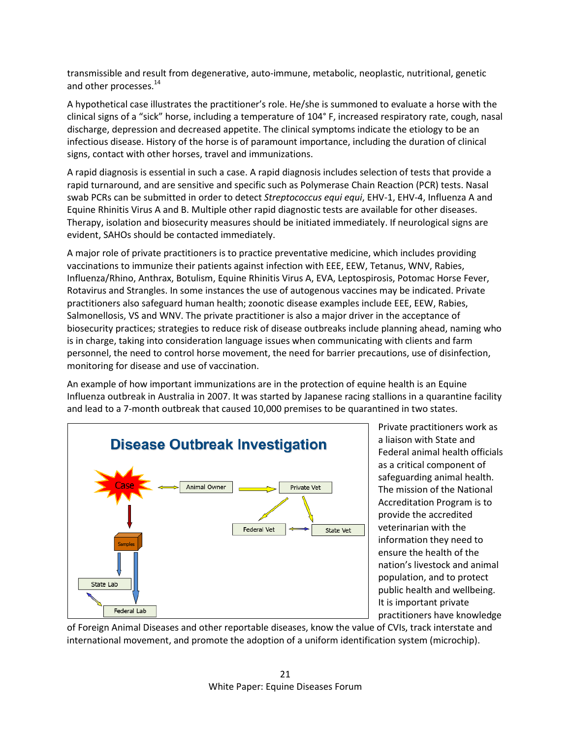transmissible and result from degenerative, auto-immune, metabolic, neoplastic, nutritional, genetic and other processes.<sup>14</sup>

A hypothetical case illustrates the practitioner's role. He/she is summoned to evaluate a horse with the clinical signs of a "sick" horse, including a temperature of 104° F, increased respiratory rate, cough, nasal discharge, depression and decreased appetite. The clinical symptoms indicate the etiology to be an infectious disease. History of the horse is of paramount importance, including the duration of clinical signs, contact with other horses, travel and immunizations.

A rapid diagnosis is essential in such a case. A rapid diagnosis includes selection of tests that provide a rapid turnaround, and are sensitive and specific such as Polymerase Chain Reaction (PCR) tests. Nasal swab PCRs can be submitted in order to detect *Streptococcus equi equi*, EHV-1, EHV-4, Influenza A and Equine Rhinitis Virus A and B. Multiple other rapid diagnostic tests are available for other diseases. Therapy, isolation and biosecurity measures should be initiated immediately. If neurological signs are evident, SAHOs should be contacted immediately.

A major role of private practitioners is to practice preventative medicine, which includes providing vaccinations to immunize their patients against infection with EEE, EEW, Tetanus, WNV, Rabies, Influenza/Rhino, Anthrax, Botulism, Equine Rhinitis Virus A, EVA, Leptospirosis, Potomac Horse Fever, Rotavirus and Strangles. In some instances the use of autogenous vaccines may be indicated. Private practitioners also safeguard human health; zoonotic disease examples include EEE, EEW, Rabies, Salmonellosis, VS and WNV. The private practitioner is also a major driver in the acceptance of biosecurity practices; strategies to reduce risk of disease outbreaks include planning ahead, naming who is in charge, taking into consideration language issues when communicating with clients and farm personnel, the need to control horse movement, the need for barrier precautions, use of disinfection, monitoring for disease and use of vaccination.

An example of how important immunizations are in the protection of equine health is an Equine Influenza outbreak in Australia in 2007. It was started by Japanese racing stallions in a quarantine facility and lead to a 7-month outbreak that caused 10,000 premises to be quarantined in two states.



Private practitioners work as a liaison with State and Federal animal health officials as a critical component of safeguarding animal health. The mission of the National Accreditation Program is to provide the accredited veterinarian with the information they need to ensure the health of the nation's livestock and animal population, and to protect public health and wellbeing. It is important private practitioners have knowledge

of Foreign Animal Diseases and other reportable diseases, know the value of CVIs, track interstate and international movement, and promote the adoption of a uniform identification system (microchip).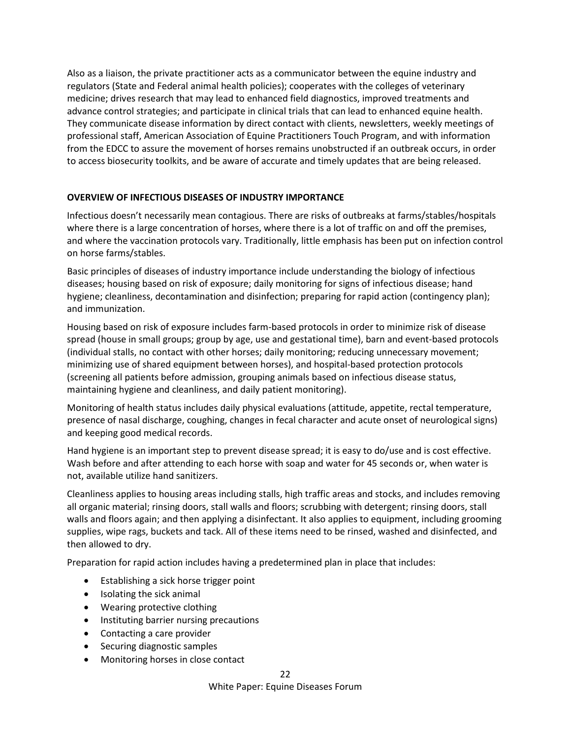Also as a liaison, the private practitioner acts as a communicator between the equine industry and regulators (State and Federal animal health policies); cooperates with the colleges of veterinary medicine; drives research that may lead to enhanced field diagnostics, improved treatments and advance control strategies; and participate in clinical trials that can lead to enhanced equine health. They communicate disease information by direct contact with clients, newsletters, weekly meetings of professional staff, American Association of Equine Practitioners Touch Program, and with information from the EDCC to assure the movement of horses remains unobstructed if an outbreak occurs, in order to access biosecurity toolkits, and be aware of accurate and timely updates that are being released.

# **OVERVIEW OF INFECTIOUS DISEASES OF INDUSTRY IMPORTANCE**

Infectious doesn't necessarily mean contagious. There are risks of outbreaks at farms/stables/hospitals where there is a large concentration of horses, where there is a lot of traffic on and off the premises, and where the vaccination protocols vary. Traditionally, little emphasis has been put on infection control on horse farms/stables.

Basic principles of diseases of industry importance include understanding the biology of infectious diseases; housing based on risk of exposure; daily monitoring for signs of infectious disease; hand hygiene; cleanliness, decontamination and disinfection; preparing for rapid action (contingency plan); and immunization.

Housing based on risk of exposure includes farm-based protocols in order to minimize risk of disease spread (house in small groups; group by age, use and gestational time), barn and event-based protocols (individual stalls, no contact with other horses; daily monitoring; reducing unnecessary movement; minimizing use of shared equipment between horses), and hospital-based protection protocols (screening all patients before admission, grouping animals based on infectious disease status, maintaining hygiene and cleanliness, and daily patient monitoring).

Monitoring of health status includes daily physical evaluations (attitude, appetite, rectal temperature, presence of nasal discharge, coughing, changes in fecal character and acute onset of neurological signs) and keeping good medical records.

Hand hygiene is an important step to prevent disease spread; it is easy to do/use and is cost effective. Wash before and after attending to each horse with soap and water for 45 seconds or, when water is not, available utilize hand sanitizers.

Cleanliness applies to housing areas including stalls, high traffic areas and stocks, and includes removing all organic material; rinsing doors, stall walls and floors; scrubbing with detergent; rinsing doors, stall walls and floors again; and then applying a disinfectant. It also applies to equipment, including grooming supplies, wipe rags, buckets and tack. All of these items need to be rinsed, washed and disinfected, and then allowed to dry.

Preparation for rapid action includes having a predetermined plan in place that includes:

- Establishing a sick horse trigger point
- Isolating the sick animal
- Wearing protective clothing
- Instituting barrier nursing precautions
- Contacting a care provider
- Securing diagnostic samples
- Monitoring horses in close contact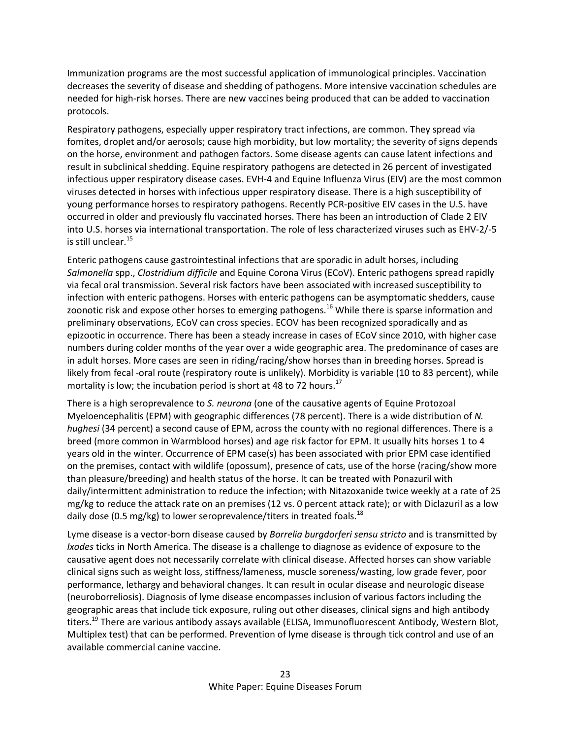Immunization programs are the most successful application of immunological principles. Vaccination decreases the severity of disease and shedding of pathogens. More intensive vaccination schedules are needed for high-risk horses. There are new vaccines being produced that can be added to vaccination protocols.

Respiratory pathogens, especially upper respiratory tract infections, are common. They spread via fomites, droplet and/or aerosols; cause high morbidity, but low mortality; the severity of signs depends on the horse, environment and pathogen factors. Some disease agents can cause latent infections and result in subclinical shedding. Equine respiratory pathogens are detected in 26 percent of investigated infectious upper respiratory disease cases. EVH-4 and Equine Influenza Virus (EIV) are the most common viruses detected in horses with infectious upper respiratory disease. There is a high susceptibility of young performance horses to respiratory pathogens. Recently PCR-positive EIV cases in the U.S. have occurred in older and previously flu vaccinated horses. There has been an introduction of Clade 2 EIV into U.S. horses via international transportation. The role of less characterized viruses such as EHV-2/-5 is still unclear. $15$ 

Enteric pathogens cause gastrointestinal infections that are sporadic in adult horses, including *Salmonella* spp., *Clostridium difficile* and Equine Corona Virus (ECoV). Enteric pathogens spread rapidly via fecal oral transmission. Several risk factors have been associated with increased susceptibility to infection with enteric pathogens. Horses with enteric pathogens can be asymptomatic shedders, cause zoonotic risk and expose other horses to emerging pathogens.<sup>16</sup> While there is sparse information and preliminary observations, ECoV can cross species. ECOV has been recognized sporadically and as epizootic in occurrence. There has been a steady increase in cases of ECoV since 2010, with higher case numbers during colder months of the year over a wide geographic area. The predominance of cases are in adult horses. More cases are seen in riding/racing/show horses than in breeding horses. Spread is likely from fecal -oral route (respiratory route is unlikely). Morbidity is variable (10 to 83 percent), while mortality is low; the incubation period is short at 48 to 72 hours.<sup>17</sup>

There is a high seroprevalence to *S. neurona* (one of the causative agents of Equine Protozoal Myeloencephalitis (EPM) with geographic differences (78 percent). There is a wide distribution of *N. hughesi* (34 percent) a second cause of EPM, across the county with no regional differences. There is a breed (more common in Warmblood horses) and age risk factor for EPM. It usually hits horses 1 to 4 years old in the winter. Occurrence of EPM case(s) has been associated with prior EPM case identified on the premises, contact with wildlife (opossum), presence of cats, use of the horse (racing/show more than pleasure/breeding) and health status of the horse. It can be treated with Ponazuril with daily/intermittent administration to reduce the infection; with Nitazoxanide twice weekly at a rate of 25 mg/kg to reduce the attack rate on an premises (12 vs. 0 percent attack rate); or with Diclazuril as a low daily dose (0.5 mg/kg) to lower seroprevalence/titers in treated foals.<sup>18</sup>

Lyme disease is a vector-born disease caused by *Borrelia burgdorferi sensu stricto* and is transmitted by *Ixodes* ticks in North America. The disease is a challenge to diagnose as evidence of exposure to the causative agent does not necessarily correlate with clinical disease. Affected horses can show variable clinical signs such as weight loss, stiffness/lameness, muscle soreness/wasting, low grade fever, poor performance, lethargy and behavioral changes. It can result in ocular disease and neurologic disease (neuroborreliosis). Diagnosis of lyme disease encompasses inclusion of various factors including the geographic areas that include tick exposure, ruling out other diseases, clinical signs and high antibody titers.<sup>19</sup> There are various antibody assays available (ELISA, Immunofluorescent Antibody, Western Blot, Multiplex test) that can be performed. Prevention of lyme disease is through tick control and use of an available commercial canine vaccine.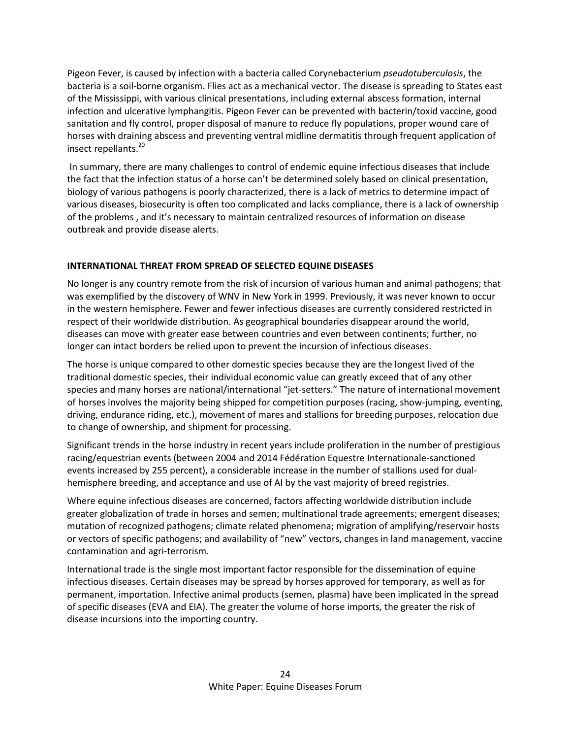Pigeon Fever, is caused by infection with a bacteria called Corynebacterium *pseudotuberculosis*, the bacteria is a soil-borne organism. Flies act as a mechanical vector. The disease is spreading to States east of the Mississippi, with various clinical presentations, including external abscess formation, internal infection and ulcerative lymphangitis. Pigeon Fever can be prevented with bacterin/toxid vaccine, good sanitation and fly control, proper disposal of manure to reduce fly populations, proper wound care of horses with draining abscess and preventing ventral midline dermatitis through frequent application of insect repellants. 20

In summary, there are many challenges to control of endemic equine infectious diseases that include the fact that the infection status of a horse can't be determined solely based on clinical presentation, biology of various pathogens is poorly characterized, there is a lack of metrics to determine impact of various diseases, biosecurity is often too complicated and lacks compliance, there is a lack of ownership of the problems , and it's necessary to maintain centralized resources of information on disease outbreak and provide disease alerts.

# **INTERNATIONAL THREAT FROM SPREAD OF SELECTED EQUINE DISEASES**

No longer is any country remote from the risk of incursion of various human and animal pathogens; that was exemplified by the discovery of WNV in New York in 1999. Previously, it was never known to occur in the western hemisphere. Fewer and fewer infectious diseases are currently considered restricted in respect of their worldwide distribution. As geographical boundaries disappear around the world, diseases can move with greater ease between countries and even between continents; further, no longer can intact borders be relied upon to prevent the incursion of infectious diseases.

The horse is unique compared to other domestic species because they are the longest lived of the traditional domestic species, their individual economic value can greatly exceed that of any other species and many horses are national/international "jet-setters." The nature of international movement of horses involves the majority being shipped for competition purposes (racing, show-jumping, eventing, driving, endurance riding, etc.), movement of mares and stallions for breeding purposes, relocation due to change of ownership, and shipment for processing.

Significant trends in the horse industry in recent years include proliferation in the number of prestigious racing/equestrian events (between 2004 and 2014 Fédération Equestre Internationale-sanctioned events increased by 255 percent), a considerable increase in the number of stallions used for dualhemisphere breeding, and acceptance and use of AI by the vast majority of breed registries.

Where equine infectious diseases are concerned, factors affecting worldwide distribution include greater globalization of trade in horses and semen; multinational trade agreements; emergent diseases; mutation of recognized pathogens; climate related phenomena; migration of amplifying/reservoir hosts or vectors of specific pathogens; and availability of "new" vectors, changes in land management, vaccine contamination and agri-terrorism.

International trade is the single most important factor responsible for the dissemination of equine infectious diseases. Certain diseases may be spread by horses approved for temporary, as well as for permanent, importation. Infective animal products (semen, plasma) have been implicated in the spread of specific diseases (EVA and EIA). The greater the volume of horse imports, the greater the risk of disease incursions into the importing country.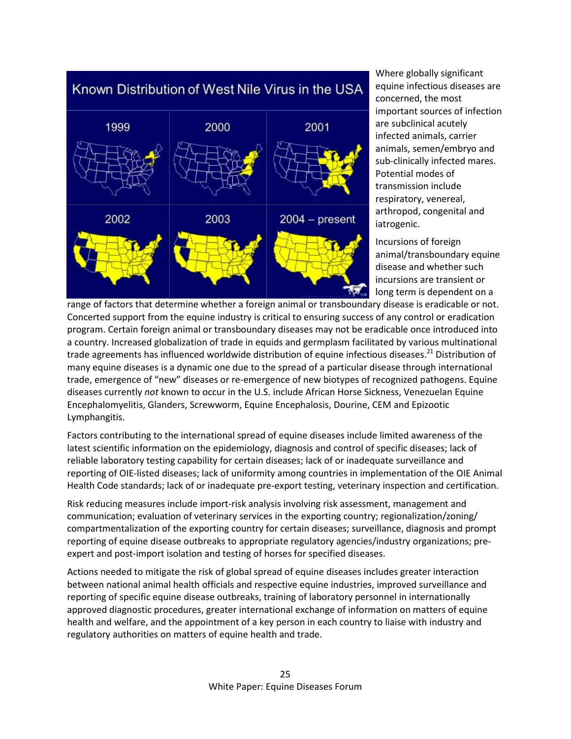

Where globally significant equine infectious diseases are concerned, the most important sources of infection are subclinical acutely infected animals, carrier animals, semen/embryo and sub-clinically infected mares. Potential modes of transmission include respiratory, venereal, arthropod, congenital and iatrogenic.

Incursions of foreign animal/transboundary equine disease and whether such incursions are transient or long term is dependent on a

range of factors that determine whether a foreign animal or transboundary disease is eradicable or not. Concerted support from the equine industry is critical to ensuring success of any control or eradication program. Certain foreign animal or transboundary diseases may not be eradicable once introduced into a country. Increased globalization of trade in equids and germplasm facilitated by various multinational trade agreements has influenced worldwide distribution of equine infectious diseases.<sup>21</sup> Distribution of many equine diseases is a dynamic one due to the spread of a particular disease through international trade, emergence of "new" diseases or re-emergence of new biotypes of recognized pathogens. Equine diseases currently *not* known to occur in the U.S. include African Horse Sickness, Venezuelan Equine Encephalomyelitis, Glanders, Screwworm, Equine Encephalosis, Dourine, CEM and Epizootic Lymphangitis.

Factors contributing to the international spread of equine diseases include limited awareness of the latest scientific information on the epidemiology, diagnosis and control of specific diseases; lack of reliable laboratory testing capability for certain diseases; lack of or inadequate surveillance and reporting of OIE-listed diseases; lack of uniformity among countries in implementation of the OIE Animal Health Code standards; lack of or inadequate pre-export testing, veterinary inspection and certification.

Risk reducing measures include import-risk analysis involving risk assessment, management and communication; evaluation of veterinary services in the exporting country; regionalization/zoning/ compartmentalization of the exporting country for certain diseases; surveillance, diagnosis and prompt reporting of equine disease outbreaks to appropriate regulatory agencies/industry organizations; preexpert and post-import isolation and testing of horses for specified diseases.

Actions needed to mitigate the risk of global spread of equine diseases includes greater interaction between national animal health officials and respective equine industries, improved surveillance and reporting of specific equine disease outbreaks, training of laboratory personnel in internationally approved diagnostic procedures, greater international exchange of information on matters of equine health and welfare, and the appointment of a key person in each country to liaise with industry and regulatory authorities on matters of equine health and trade.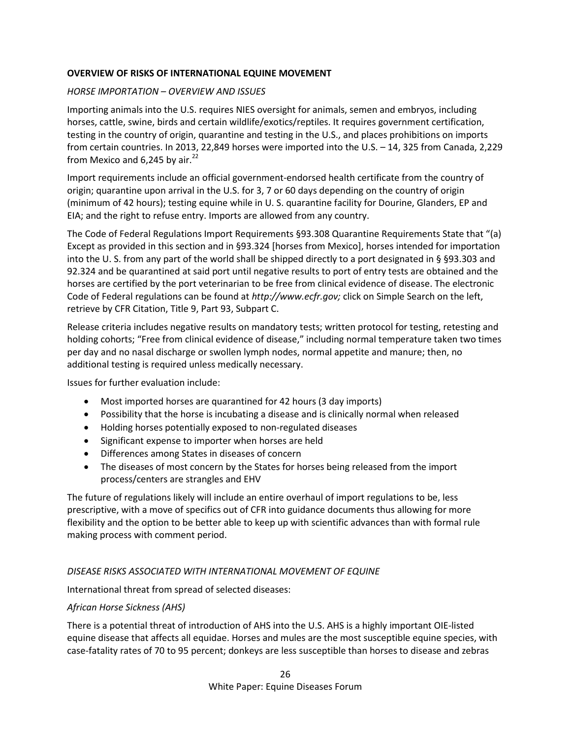## **OVERVIEW OF RISKS OF INTERNATIONAL EQUINE MOVEMENT**

## *HORSE IMPORTATION – OVERVIEW AND ISSUES*

Importing animals into the U.S. requires NIES oversight for animals, semen and embryos, including horses, cattle, swine, birds and certain wildlife/exotics/reptiles. It requires government certification, testing in the country of origin, quarantine and testing in the U.S., and places prohibitions on imports from certain countries. In 2013, 22,849 horses were imported into the U.S. – 14, 325 from Canada, 2,229 from Mexico and 6,245 by air. $^{22}$ 

Import requirements include an official government-endorsed health certificate from the country of origin; quarantine upon arrival in the U.S. for 3, 7 or 60 days depending on the country of origin (minimum of 42 hours); testing equine while in U. S. quarantine facility for Dourine, Glanders, EP and EIA; and the right to refuse entry. Imports are allowed from any country.

The Code of Federal Regulations Import Requirements §93.308 Quarantine Requirements State that "(a) Except as provided in this section and in §93.324 [horses from Mexico], horses intended for importation into the U. S. from any part of the world shall be shipped directly to a port designated in § §93.303 and 92.324 and be quarantined at said port until negative results to port of entry tests are obtained and the horses are certified by the port veterinarian to be free from clinical evidence of disease. The electronic Code of Federal regulations can be found at *http://www.ecfr.gov;* click on Simple Search on the left, retrieve by CFR Citation, Title 9, Part 93, Subpart C.

Release criteria includes negative results on mandatory tests; written protocol for testing, retesting and holding cohorts; "Free from clinical evidence of disease," including normal temperature taken two times per day and no nasal discharge or swollen lymph nodes, normal appetite and manure; then, no additional testing is required unless medically necessary.

Issues for further evaluation include:

- Most imported horses are quarantined for 42 hours (3 day imports)
- Possibility that the horse is incubating a disease and is clinically normal when released
- Holding horses potentially exposed to non-regulated diseases
- Significant expense to importer when horses are held
- Differences among States in diseases of concern
- The diseases of most concern by the States for horses being released from the import process/centers are strangles and EHV

The future of regulations likely will include an entire overhaul of import regulations to be, less prescriptive, with a move of specifics out of CFR into guidance documents thus allowing for more flexibility and the option to be better able to keep up with scientific advances than with formal rule making process with comment period.

## *DISEASE RISKS ASSOCIATED WITH INTERNATIONAL MOVEMENT OF EQUINE*

International threat from spread of selected diseases:

## *African Horse Sickness (AHS)*

There is a potential threat of introduction of AHS into the U.S. AHS is a highly important OIE-listed equine disease that affects all equidae. Horses and mules are the most susceptible equine species, with case-fatality rates of 70 to 95 percent; donkeys are less susceptible than horses to disease and zebras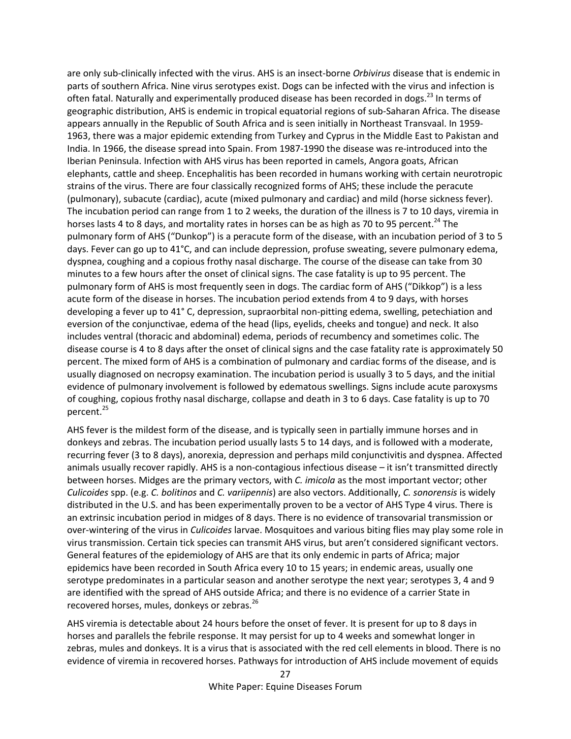are only sub-clinically infected with the virus. AHS is an insect-borne *Orbivirus* disease that is endemic in parts of southern Africa. Nine virus serotypes exist. Dogs can be infected with the virus and infection is often fatal. Naturally and experimentally produced disease has been recorded in dogs.<sup>23</sup> In terms of geographic distribution, AHS is endemic in tropical equatorial regions of sub-Saharan Africa. The disease appears annually in the Republic of South Africa and is seen initially in Northeast Transvaal. In 1959- 1963, there was a major epidemic extending from Turkey and Cyprus in the Middle East to Pakistan and India. In 1966, the disease spread into Spain. From 1987-1990 the disease was re-introduced into the Iberian Peninsula. Infection with AHS virus has been reported in camels, Angora goats, African elephants, cattle and sheep. Encephalitis has been recorded in humans working with certain neurotropic strains of the virus. There are four classically recognized forms of AHS; these include the peracute (pulmonary), subacute (cardiac), acute (mixed pulmonary and cardiac) and mild (horse sickness fever). The incubation period can range from 1 to 2 weeks, the duration of the illness is 7 to 10 days, viremia in horses lasts 4 to 8 days, and mortality rates in horses can be as high as 70 to 95 percent.<sup>24</sup> The pulmonary form of AHS ("Dunkop") is a peracute form of the disease, with an incubation period of 3 to 5 days. Fever can go up to 41°C, and can include depression, profuse sweating, severe pulmonary edema, dyspnea, coughing and a copious frothy nasal discharge. The course of the disease can take from 30 minutes to a few hours after the onset of clinical signs. The case fatality is up to 95 percent. The pulmonary form of AHS is most frequently seen in dogs. The cardiac form of AHS ("Dikkop") is a less acute form of the disease in horses. The incubation period extends from 4 to 9 days, with horses developing a fever up to 41° C, depression, supraorbital non-pitting edema, swelling, petechiation and eversion of the conjunctivae, edema of the head (lips, eyelids, cheeks and tongue) and neck. It also includes ventral (thoracic and abdominal) edema, periods of recumbency and sometimes colic. The disease course is 4 to 8 days after the onset of clinical signs and the case fatality rate is approximately 50 percent. The mixed form of AHS is a combination of pulmonary and cardiac forms of the disease, and is usually diagnosed on necropsy examination. The incubation period is usually 3 to 5 days, and the initial evidence of pulmonary involvement is followed by edematous swellings. Signs include acute paroxysms of coughing, copious frothy nasal discharge, collapse and death in 3 to 6 days. Case fatality is up to 70 percent.<sup>25</sup>

AHS fever is the mildest form of the disease, and is typically seen in partially immune horses and in donkeys and zebras. The incubation period usually lasts 5 to 14 days, and is followed with a moderate, recurring fever (3 to 8 days), anorexia, depression and perhaps mild conjunctivitis and dyspnea. Affected animals usually recover rapidly. AHS is a non-contagious infectious disease – it isn't transmitted directly between horses. Midges are the primary vectors, with *C. imicola* as the most important vector; other *Culicoides* spp. (e.g. *C. bolitinos* and *C. variipennis*) are also vectors. Additionally, *C. sonorensis* is widely distributed in the U.S. and has been experimentally proven to be a vector of AHS Type 4 virus. There is an extrinsic incubation period in midges of 8 days. There is no evidence of transovarial transmission or over-wintering of the virus in *Culicoides* larvae. Mosquitoes and various biting flies may play some role in virus transmission. Certain tick species can transmit AHS virus, but aren't considered significant vectors. General features of the epidemiology of AHS are that its only endemic in parts of Africa; major epidemics have been recorded in South Africa every 10 to 15 years; in endemic areas, usually one serotype predominates in a particular season and another serotype the next year; serotypes 3, 4 and 9 are identified with the spread of AHS outside Africa; and there is no evidence of a carrier State in recovered horses, mules, donkeys or zebras.<sup>26</sup>

AHS viremia is detectable about 24 hours before the onset of fever. It is present for up to 8 days in horses and parallels the febrile response. It may persist for up to 4 weeks and somewhat longer in zebras, mules and donkeys. It is a virus that is associated with the red cell elements in blood. There is no evidence of viremia in recovered horses. Pathways for introduction of AHS include movement of equids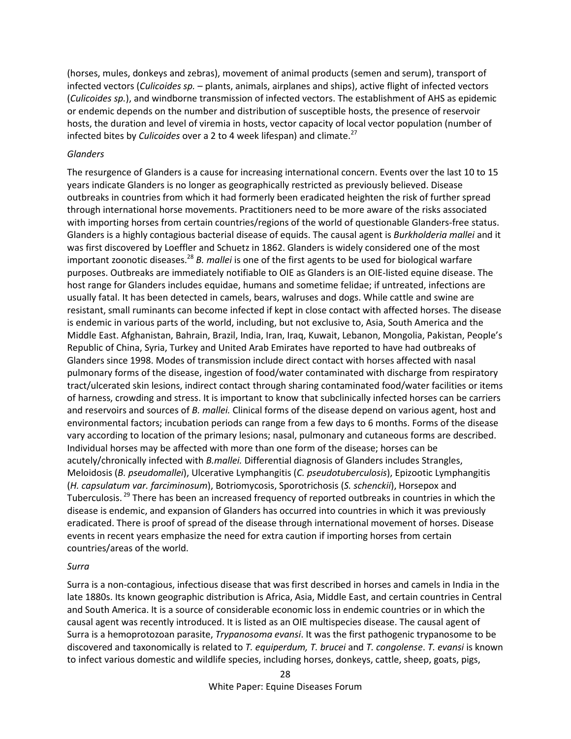(horses, mules, donkeys and zebras), movement of animal products (semen and serum), transport of infected vectors (*Culicoides sp.* – plants, animals, airplanes and ships), active flight of infected vectors (*Culicoides sp.*), and windborne transmission of infected vectors. The establishment of AHS as epidemic or endemic depends on the number and distribution of susceptible hosts, the presence of reservoir hosts, the duration and level of viremia in hosts, vector capacity of local vector population (number of infected bites by *Culicoides* over a 2 to 4 week lifespan) and climate.<sup>27</sup>

### *Glanders*

The resurgence of Glanders is a cause for increasing international concern. Events over the last 10 to 15 years indicate Glanders is no longer as geographically restricted as previously believed. Disease outbreaks in countries from which it had formerly been eradicated heighten the risk of further spread through international horse movements. Practitioners need to be more aware of the risks associated with importing horses from certain countries/regions of the world of questionable Glanders-free status. Glanders is a highly contagious bacterial disease of equids. The causal agent is *Burkholderia mallei* and it was first discovered by Loeffler and Schuetz in 1862. Glanders is widely considered one of the most important zoonotic diseases.<sup>28</sup> *B. mallei* is one of the first agents to be used for biological warfare purposes. Outbreaks are immediately notifiable to OIE as Glanders is an OIE-listed equine disease. The host range for Glanders includes equidae, humans and sometime felidae; if untreated, infections are usually fatal. It has been detected in camels, bears, walruses and dogs. While cattle and swine are resistant, small ruminants can become infected if kept in close contact with affected horses. The disease is endemic in various parts of the world, including, but not exclusive to, Asia, South America and the Middle East. Afghanistan, Bahrain, Brazil, India, Iran, Iraq, Kuwait, Lebanon, Mongolia, Pakistan, People's Republic of China, Syria, Turkey and United Arab Emirates have reported to have had outbreaks of Glanders since 1998. Modes of transmission include direct contact with horses affected with nasal pulmonary forms of the disease, ingestion of food/water contaminated with discharge from respiratory tract/ulcerated skin lesions, indirect contact through sharing contaminated food/water facilities or items of harness, crowding and stress. It is important to know that subclinically infected horses can be carriers and reservoirs and sources of *B. mallei.* Clinical forms of the disease depend on various agent, host and environmental factors; incubation periods can range from a few days to 6 months. Forms of the disease vary according to location of the primary lesions; nasal, pulmonary and cutaneous forms are described. Individual horses may be affected with more than one form of the disease; horses can be acutely/chronically infected with *B.mallei.* Differential diagnosis of Glanders includes Strangles, Meloidosis (*B. pseudomallei*), Ulcerative Lymphangitis (*C. pseudotuberculosis*), Epizootic Lymphangitis (*H. capsulatum var. farciminosum*), Botriomycosis, Sporotrichosis (*S. schenckii*), Horsepox and Tuberculosis.<sup>29</sup> There has been an increased frequency of reported outbreaks in countries in which the disease is endemic, and expansion of Glanders has occurred into countries in which it was previously eradicated. There is proof of spread of the disease through international movement of horses. Disease events in recent years emphasize the need for extra caution if importing horses from certain countries/areas of the world.

#### *Surra*

Surra is a non-contagious, infectious disease that was first described in horses and camels in India in the late 1880s. Its known geographic distribution is Africa, Asia, Middle East, and certain countries in Central and South America. It is a source of considerable economic loss in endemic countries or in which the causal agent was recently introduced. It is listed as an OIE multispecies disease. The causal agent of Surra is a hemoprotozoan parasite, *Trypanosoma evansi*. It was the first pathogenic trypanosome to be discovered and taxonomically is related to *T. equiperdum, T. brucei* and *T. congolense*. *T. evansi* is known to infect various domestic and wildlife species, including horses, donkeys, cattle, sheep, goats, pigs,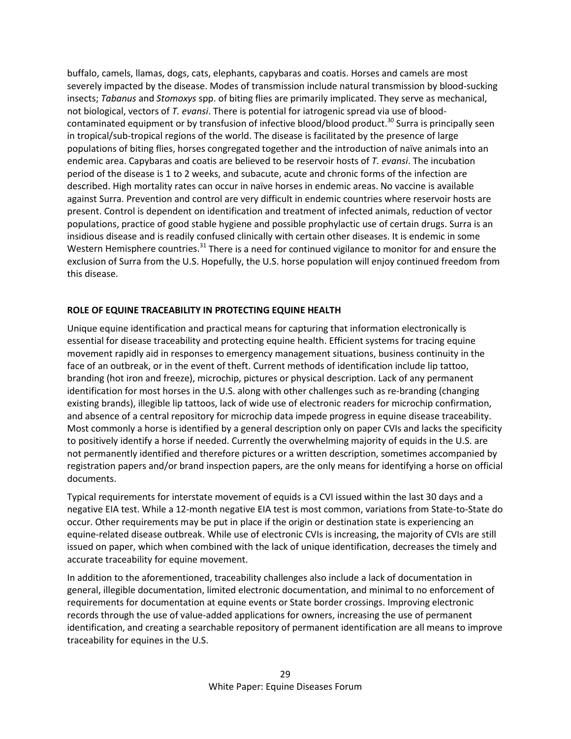buffalo, camels, llamas, dogs, cats, elephants, capybaras and coatis. Horses and camels are most severely impacted by the disease. Modes of transmission include natural transmission by blood-sucking insects; *Tabanus* and *Stomoxys* spp. of biting flies are primarily implicated. They serve as mechanical, not biological, vectors of *T. evansi*. There is potential for iatrogenic spread via use of bloodcontaminated equipment or by transfusion of infective blood/blood product.<sup>30</sup> Surra is principally seen in tropical/sub-tropical regions of the world. The disease is facilitated by the presence of large populations of biting flies, horses congregated together and the introduction of naïve animals into an endemic area. Capybaras and coatis are believed to be reservoir hosts of *T. evansi*. The incubation period of the disease is 1 to 2 weeks, and subacute, acute and chronic forms of the infection are described. High mortality rates can occur in naïve horses in endemic areas. No vaccine is available against Surra. Prevention and control are very difficult in endemic countries where reservoir hosts are present. Control is dependent on identification and treatment of infected animals, reduction of vector populations, practice of good stable hygiene and possible prophylactic use of certain drugs. Surra is an insidious disease and is readily confused clinically with certain other diseases. It is endemic in some Western Hemisphere countries.<sup>31</sup> There is a need for continued vigilance to monitor for and ensure the exclusion of Surra from the U.S. Hopefully, the U.S. horse population will enjoy continued freedom from this disease.

## **ROLE OF EQUINE TRACEABILITY IN PROTECTING EQUINE HEALTH**

Unique equine identification and practical means for capturing that information electronically is essential for disease traceability and protecting equine health. Efficient systems for tracing equine movement rapidly aid in responses to emergency management situations, business continuity in the face of an outbreak, or in the event of theft. Current methods of identification include lip tattoo, branding (hot iron and freeze), microchip, pictures or physical description. Lack of any permanent identification for most horses in the U.S. along with other challenges such as re-branding (changing existing brands), illegible lip tattoos, lack of wide use of electronic readers for microchip confirmation, and absence of a central repository for microchip data impede progress in equine disease traceability. Most commonly a horse is identified by a general description only on paper CVIs and lacks the specificity to positively identify a horse if needed. Currently the overwhelming majority of equids in the U.S. are not permanently identified and therefore pictures or a written description, sometimes accompanied by registration papers and/or brand inspection papers, are the only means for identifying a horse on official documents.

Typical requirements for interstate movement of equids is a CVI issued within the last 30 days and a negative EIA test. While a 12-month negative EIA test is most common, variations from State-to-State do occur. Other requirements may be put in place if the origin or destination state is experiencing an equine-related disease outbreak. While use of electronic CVIs is increasing, the majority of CVIs are still issued on paper, which when combined with the lack of unique identification, decreases the timely and accurate traceability for equine movement.

In addition to the aforementioned, traceability challenges also include a lack of documentation in general, illegible documentation, limited electronic documentation, and minimal to no enforcement of requirements for documentation at equine events or State border crossings. Improving electronic records through the use of value-added applications for owners, increasing the use of permanent identification, and creating a searchable repository of permanent identification are all means to improve traceability for equines in the U.S.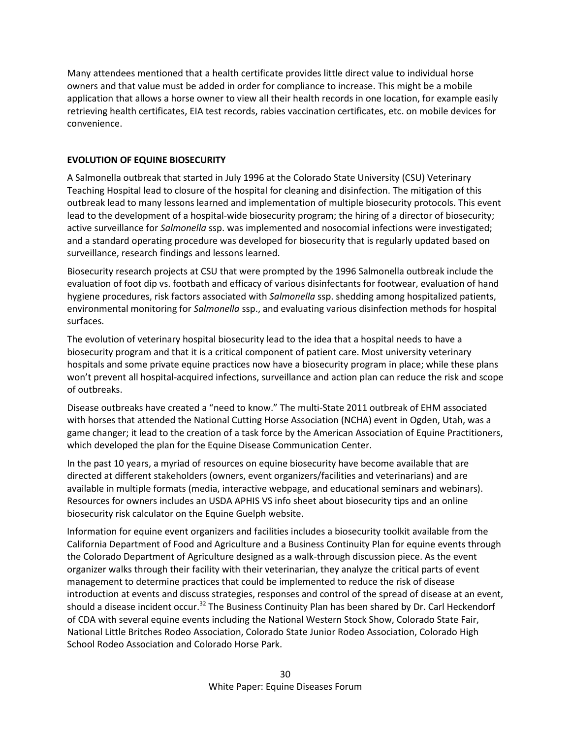Many attendees mentioned that a health certificate provides little direct value to individual horse owners and that value must be added in order for compliance to increase. This might be a mobile application that allows a horse owner to view all their health records in one location, for example easily retrieving health certificates, EIA test records, rabies vaccination certificates, etc. on mobile devices for convenience.

# **EVOLUTION OF EQUINE BIOSECURITY**

A Salmonella outbreak that started in July 1996 at the Colorado State University (CSU) Veterinary Teaching Hospital lead to closure of the hospital for cleaning and disinfection. The mitigation of this outbreak lead to many lessons learned and implementation of multiple biosecurity protocols. This event lead to the development of a hospital-wide biosecurity program; the hiring of a director of biosecurity; active surveillance for *Salmonella* ssp. was implemented and nosocomial infections were investigated; and a standard operating procedure was developed for biosecurity that is regularly updated based on surveillance, research findings and lessons learned.

Biosecurity research projects at CSU that were prompted by the 1996 Salmonella outbreak include the evaluation of foot dip vs. footbath and efficacy of various disinfectants for footwear, evaluation of hand hygiene procedures, risk factors associated with *Salmonella* ssp. shedding among hospitalized patients, environmental monitoring for *Salmonella* ssp., and evaluating various disinfection methods for hospital surfaces.

The evolution of veterinary hospital biosecurity lead to the idea that a hospital needs to have a biosecurity program and that it is a critical component of patient care. Most university veterinary hospitals and some private equine practices now have a biosecurity program in place; while these plans won't prevent all hospital-acquired infections, surveillance and action plan can reduce the risk and scope of outbreaks.

Disease outbreaks have created a "need to know." The multi-State 2011 outbreak of EHM associated with horses that attended the National Cutting Horse Association (NCHA) event in Ogden, Utah, was a game changer; it lead to the creation of a task force by the American Association of Equine Practitioners, which developed the plan for the Equine Disease Communication Center.

In the past 10 years, a myriad of resources on equine biosecurity have become available that are directed at different stakeholders (owners, event organizers/facilities and veterinarians) and are available in multiple formats (media, interactive webpage, and educational seminars and webinars). Resources for owners includes an USDA APHIS VS info sheet about biosecurity tips and an online biosecurity risk calculator on the Equine Guelph website.

Information for equine event organizers and facilities includes a biosecurity toolkit available from the California Department of Food and Agriculture and a Business Continuity Plan for equine events through the Colorado Department of Agriculture designed as a walk-through discussion piece. As the event organizer walks through their facility with their veterinarian, they analyze the critical parts of event management to determine practices that could be implemented to reduce the risk of disease introduction at events and discuss strategies, responses and control of the spread of disease at an event, should a disease incident occur.<sup>32</sup> The Business Continuity Plan has been shared by Dr. Carl Heckendorf of CDA with several equine events including the National Western Stock Show, Colorado State Fair, National Little Britches Rodeo Association, Colorado State Junior Rodeo Association, Colorado High School Rodeo Association and Colorado Horse Park.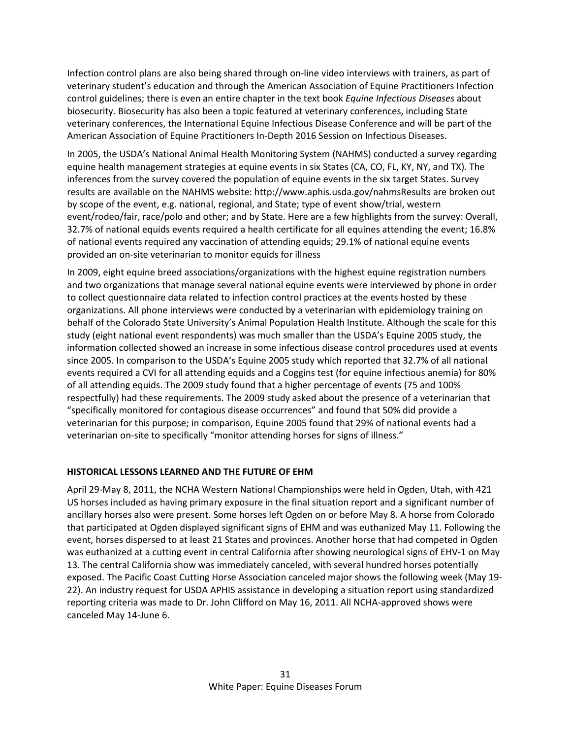Infection control plans are also being shared through on-line video interviews with trainers, as part of veterinary student's education and through the American Association of Equine Practitioners Infection control guidelines; there is even an entire chapter in the text book *Equine Infectious Diseases* about biosecurity. Biosecurity has also been a topic featured at veterinary conferences, including State veterinary conferences, the International Equine Infectious Disease Conference and will be part of the American Association of Equine Practitioners In-Depth 2016 Session on Infectious Diseases.

In 2005, the USDA's National Animal Health Monitoring System (NAHMS) conducted a survey regarding equine health management strategies at equine events in six States (CA, CO, FL, KY, NY, and TX). The inferences from the survey covered the population of equine events in the six target States. Survey results are available on the NAHMS website: http://www.aphis.usda.gov/nahmsResults are broken out by scope of the event, e.g. national, regional, and State; type of event show/trial, western event/rodeo/fair, race/polo and other; and by State. Here are a few highlights from the survey: Overall, 32.7% of national equids events required a health certificate for all equines attending the event; 16.8% of national events required any vaccination of attending equids; 29.1% of national equine events provided an on-site veterinarian to monitor equids for illness

In 2009, eight equine breed associations/organizations with the highest equine registration numbers and two organizations that manage several national equine events were interviewed by phone in order to collect questionnaire data related to infection control practices at the events hosted by these organizations. All phone interviews were conducted by a veterinarian with epidemiology training on behalf of the Colorado State University's Animal Population Health Institute. Although the scale for this study (eight national event respondents) was much smaller than the USDA's Equine 2005 study, the information collected showed an increase in some infectious disease control procedures used at events since 2005. In comparison to the USDA's Equine 2005 study which reported that 32.7% of all national events required a CVI for all attending equids and a Coggins test (for equine infectious anemia) for 80% of all attending equids. The 2009 study found that a higher percentage of events (75 and 100% respectfully) had these requirements. The 2009 study asked about the presence of a veterinarian that "specifically monitored for contagious disease occurrences" and found that 50% did provide a veterinarian for this purpose; in comparison, Equine 2005 found that 29% of national events had a veterinarian on-site to specifically "monitor attending horses for signs of illness."

# **HISTORICAL LESSONS LEARNED AND THE FUTURE OF EHM**

April 29-May 8, 2011, the NCHA Western National Championships were held in Ogden, Utah, with 421 US horses included as having primary exposure in the final situation report and a significant number of ancillary horses also were present. Some horses left Ogden on or before May 8. A horse from Colorado that participated at Ogden displayed significant signs of EHM and was euthanized May 11. Following the event, horses dispersed to at least 21 States and provinces. Another horse that had competed in Ogden was euthanized at a cutting event in central California after showing neurological signs of EHV-1 on May 13. The central California show was immediately canceled, with several hundred horses potentially exposed. The Pacific Coast Cutting Horse Association canceled major shows the following week (May 19- 22). An industry request for USDA APHIS assistance in developing a situation report using standardized reporting criteria was made to Dr. John Clifford on May 16, 2011. All NCHA-approved shows were canceled May 14-June 6.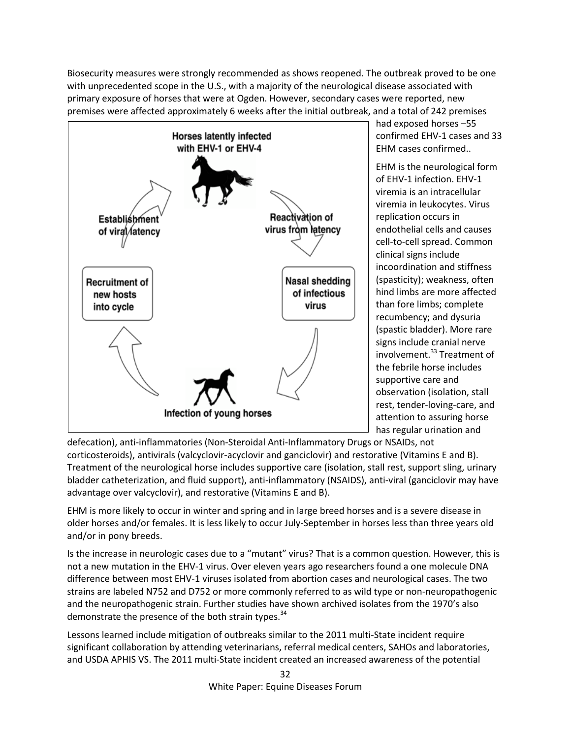Biosecurity measures were strongly recommended as shows reopened. The outbreak proved to be one with unprecedented scope in the U.S., with a majority of the neurological disease associated with primary exposure of horses that were at Ogden. However, secondary cases were reported, new premises were affected approximately 6 weeks after the initial outbreak, and a total of 242 premises



had exposed horses –55 confirmed EHV-1 cases and 33 EHM cases confirmed..

EHM is the neurological form of EHV-1 infection. EHV-1 viremia is an intracellular viremia in leukocytes. Virus replication occurs in endothelial cells and causes cell-to-cell spread. Common clinical signs include incoordination and stiffness (spasticity); weakness, often hind limbs are more affected than fore limbs; complete recumbency; and dysuria (spastic bladder). More rare signs include cranial nerve involvement.<sup>33</sup> Treatment of the febrile horse includes supportive care and observation (isolation, stall rest, tender-loving-care, and attention to assuring horse has regular urination and

defecation), anti-inflammatories (Non-Steroidal Anti-Inflammatory Drugs or NSAIDs, not corticosteroids), antivirals (valcyclovir-acyclovir and ganciclovir) and restorative (Vitamins E and B). Treatment of the neurological horse includes supportive care (isolation, stall rest, support sling, urinary bladder catheterization, and fluid support), anti-inflammatory (NSAIDS), anti-viral (ganciclovir may have advantage over valcyclovir), and restorative (Vitamins E and B).

EHM is more likely to occur in winter and spring and in large breed horses and is a severe disease in older horses and/or females. It is less likely to occur July-September in horses less than three years old and/or in pony breeds.

Is the increase in neurologic cases due to a "mutant" virus? That is a common question. However, this is not a new mutation in the EHV-1 virus. Over eleven years ago researchers found a one molecule DNA difference between most EHV-1 viruses isolated from abortion cases and neurological cases. The two strains are labeled N752 and D752 or more commonly referred to as wild type or non-neuropathogenic and the neuropathogenic strain. Further studies have shown archived isolates from the 1970's also demonstrate the presence of the both strain types.<sup>34</sup>

Lessons learned include mitigation of outbreaks similar to the 2011 multi-State incident require significant collaboration by attending veterinarians, referral medical centers, SAHOs and laboratories, and USDA APHIS VS. The 2011 multi-State incident created an increased awareness of the potential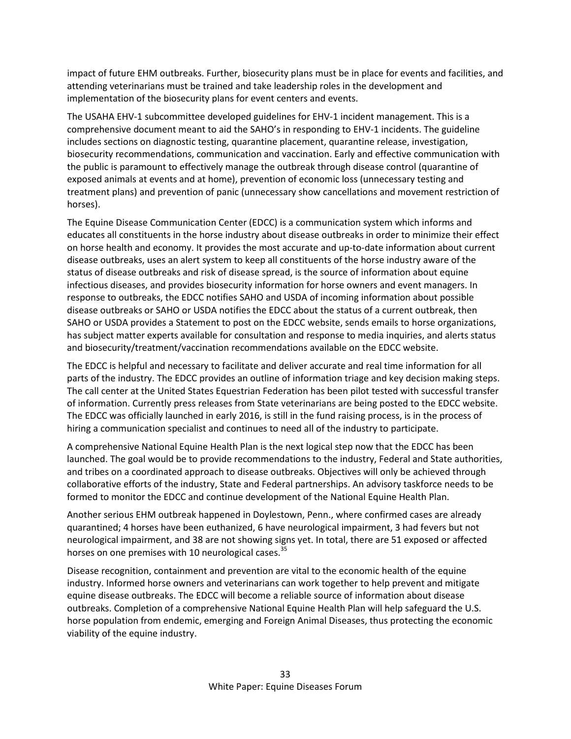impact of future EHM outbreaks. Further, biosecurity plans must be in place for events and facilities, and attending veterinarians must be trained and take leadership roles in the development and implementation of the biosecurity plans for event centers and events.

The USAHA EHV-1 subcommittee developed guidelines for EHV-1 incident management. This is a comprehensive document meant to aid the SAHO's in responding to EHV-1 incidents. The guideline includes sections on diagnostic testing, quarantine placement, quarantine release, investigation, biosecurity recommendations, communication and vaccination. Early and effective communication with the public is paramount to effectively manage the outbreak through disease control (quarantine of exposed animals at events and at home), prevention of economic loss (unnecessary testing and treatment plans) and prevention of panic (unnecessary show cancellations and movement restriction of horses).

The Equine Disease Communication Center (EDCC) is a communication system which informs and educates all constituents in the horse industry about disease outbreaks in order to minimize their effect on horse health and economy. It provides the most accurate and up-to-date information about current disease outbreaks, uses an alert system to keep all constituents of the horse industry aware of the status of disease outbreaks and risk of disease spread, is the source of information about equine infectious diseases, and provides biosecurity information for horse owners and event managers. In response to outbreaks, the EDCC notifies SAHO and USDA of incoming information about possible disease outbreaks or SAHO or USDA notifies the EDCC about the status of a current outbreak, then SAHO or USDA provides a Statement to post on the EDCC website, sends emails to horse organizations, has subject matter experts available for consultation and response to media inquiries, and alerts status and biosecurity/treatment/vaccination recommendations available on the EDCC website.

The EDCC is helpful and necessary to facilitate and deliver accurate and real time information for all parts of the industry. The EDCC provides an outline of information triage and key decision making steps. The call center at the United States Equestrian Federation has been pilot tested with successful transfer of information. Currently press releases from State veterinarians are being posted to the EDCC website. The EDCC was officially launched in early 2016, is still in the fund raising process, is in the process of hiring a communication specialist and continues to need all of the industry to participate.

A comprehensive National Equine Health Plan is the next logical step now that the EDCC has been launched. The goal would be to provide recommendations to the industry, Federal and State authorities, and tribes on a coordinated approach to disease outbreaks. Objectives will only be achieved through collaborative efforts of the industry, State and Federal partnerships. An advisory taskforce needs to be formed to monitor the EDCC and continue development of the National Equine Health Plan.

Another serious EHM outbreak happened in Doylestown, Penn., where confirmed cases are already quarantined; 4 horses have been euthanized, 6 have neurological impairment, 3 had fevers but not neurological impairment, and 38 are not showing signs yet. In total, there are 51 exposed or affected horses on one premises with 10 neurological cases.<sup>35</sup>

Disease recognition, containment and prevention are vital to the economic health of the equine industry. Informed horse owners and veterinarians can work together to help prevent and mitigate equine disease outbreaks. The EDCC will become a reliable source of information about disease outbreaks. Completion of a comprehensive National Equine Health Plan will help safeguard the U.S. horse population from endemic, emerging and Foreign Animal Diseases, thus protecting the economic viability of the equine industry.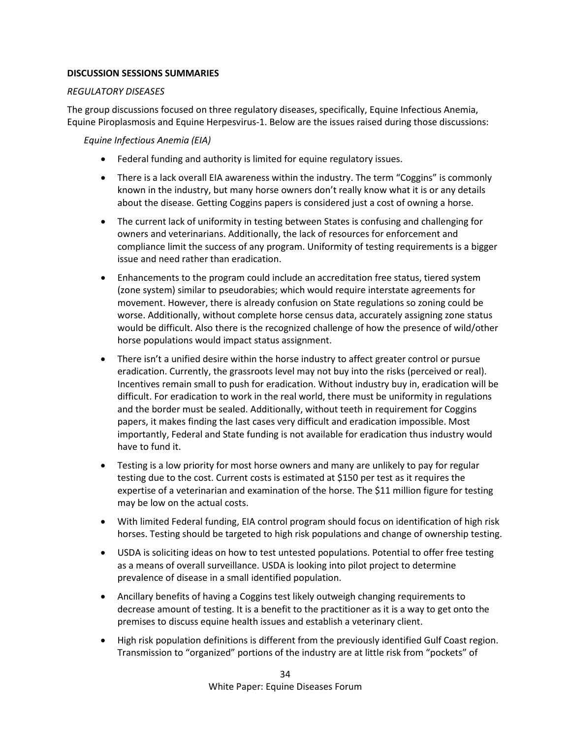### **DISCUSSION SESSIONS SUMMARIES**

### *REGULATORY DISEASES*

The group discussions focused on three regulatory diseases, specifically, Equine Infectious Anemia, Equine Piroplasmosis and Equine Herpesvirus-1. Below are the issues raised during those discussions:

*Equine Infectious Anemia (EIA)*

- Federal funding and authority is limited for equine regulatory issues.
- There is a lack overall EIA awareness within the industry. The term "Coggins" is commonly known in the industry, but many horse owners don't really know what it is or any details about the disease. Getting Coggins papers is considered just a cost of owning a horse.
- The current lack of uniformity in testing between States is confusing and challenging for owners and veterinarians. Additionally, the lack of resources for enforcement and compliance limit the success of any program. Uniformity of testing requirements is a bigger issue and need rather than eradication.
- Enhancements to the program could include an accreditation free status, tiered system (zone system) similar to pseudorabies; which would require interstate agreements for movement. However, there is already confusion on State regulations so zoning could be worse. Additionally, without complete horse census data, accurately assigning zone status would be difficult. Also there is the recognized challenge of how the presence of wild/other horse populations would impact status assignment.
- There isn't a unified desire within the horse industry to affect greater control or pursue eradication. Currently, the grassroots level may not buy into the risks (perceived or real). Incentives remain small to push for eradication. Without industry buy in, eradication will be difficult. For eradication to work in the real world, there must be uniformity in regulations and the border must be sealed. Additionally, without teeth in requirement for Coggins papers, it makes finding the last cases very difficult and eradication impossible. Most importantly, Federal and State funding is not available for eradication thus industry would have to fund it.
- Testing is a low priority for most horse owners and many are unlikely to pay for regular testing due to the cost. Current costs is estimated at \$150 per test as it requires the expertise of a veterinarian and examination of the horse. The \$11 million figure for testing may be low on the actual costs.
- With limited Federal funding, EIA control program should focus on identification of high risk horses. Testing should be targeted to high risk populations and change of ownership testing.
- USDA is soliciting ideas on how to test untested populations. Potential to offer free testing as a means of overall surveillance. USDA is looking into pilot project to determine prevalence of disease in a small identified population.
- Ancillary benefits of having a Coggins test likely outweigh changing requirements to decrease amount of testing. It is a benefit to the practitioner as it is a way to get onto the premises to discuss equine health issues and establish a veterinary client.
- High risk population definitions is different from the previously identified Gulf Coast region. Transmission to "organized" portions of the industry are at little risk from "pockets" of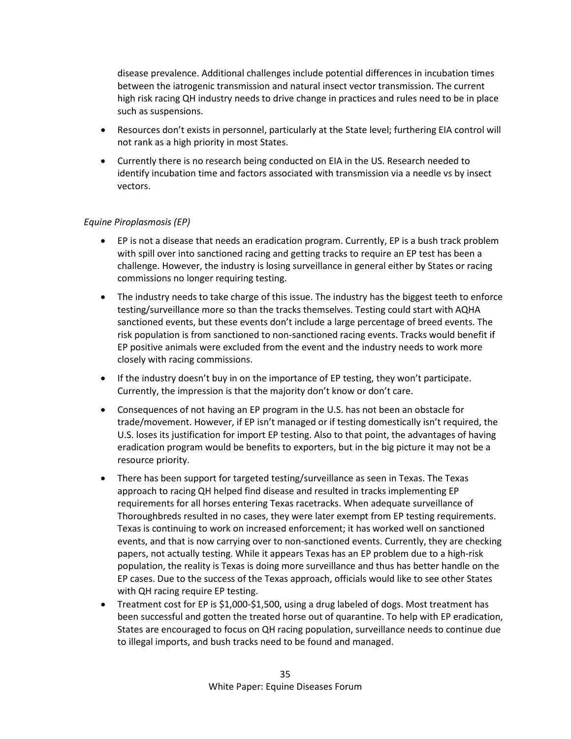disease prevalence. Additional challenges include potential differences in incubation times between the iatrogenic transmission and natural insect vector transmission. The current high risk racing QH industry needs to drive change in practices and rules need to be in place such as suspensions.

- Resources don't exists in personnel, particularly at the State level; furthering EIA control will not rank as a high priority in most States.
- Currently there is no research being conducted on EIA in the US. Research needed to identify incubation time and factors associated with transmission via a needle vs by insect vectors.

## *Equine Piroplasmosis (EP)*

- EP is not a disease that needs an eradication program. Currently, EP is a bush track problem with spill over into sanctioned racing and getting tracks to require an EP test has been a challenge. However, the industry is losing surveillance in general either by States or racing commissions no longer requiring testing.
- The industry needs to take charge of this issue. The industry has the biggest teeth to enforce testing/surveillance more so than the tracks themselves. Testing could start with AQHA sanctioned events, but these events don't include a large percentage of breed events. The risk population is from sanctioned to non-sanctioned racing events. Tracks would benefit if EP positive animals were excluded from the event and the industry needs to work more closely with racing commissions.
- If the industry doesn't buy in on the importance of EP testing, they won't participate. Currently, the impression is that the majority don't know or don't care.
- Consequences of not having an EP program in the U.S. has not been an obstacle for trade/movement. However, if EP isn't managed or if testing domestically isn't required, the U.S. loses its justification for import EP testing. Also to that point, the advantages of having eradication program would be benefits to exporters, but in the big picture it may not be a resource priority.
- There has been support for targeted testing/surveillance as seen in Texas. The Texas approach to racing QH helped find disease and resulted in tracks implementing EP requirements for all horses entering Texas racetracks. When adequate surveillance of Thoroughbreds resulted in no cases, they were later exempt from EP testing requirements. Texas is continuing to work on increased enforcement; it has worked well on sanctioned events, and that is now carrying over to non-sanctioned events. Currently, they are checking papers, not actually testing. While it appears Texas has an EP problem due to a high-risk population, the reality is Texas is doing more surveillance and thus has better handle on the EP cases. Due to the success of the Texas approach, officials would like to see other States with QH racing require EP testing.
- Treatment cost for EP is \$1,000-\$1,500, using a drug labeled of dogs. Most treatment has been successful and gotten the treated horse out of quarantine. To help with EP eradication, States are encouraged to focus on QH racing population, surveillance needs to continue due to illegal imports, and bush tracks need to be found and managed.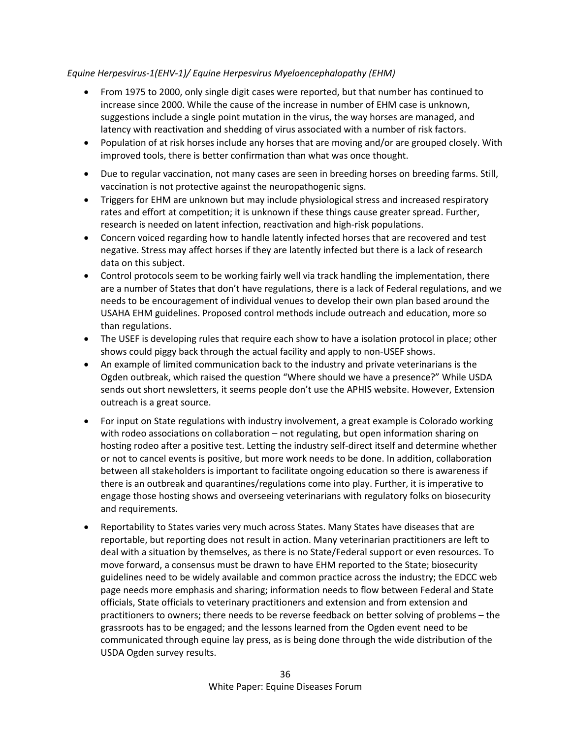# *Equine Herpesvirus-1(EHV-1)/ Equine Herpesvirus Myeloencephalopathy (EHM)*

- From 1975 to 2000, only single digit cases were reported, but that number has continued to increase since 2000. While the cause of the increase in number of EHM case is unknown, suggestions include a single point mutation in the virus, the way horses are managed, and latency with reactivation and shedding of virus associated with a number of risk factors.
- Population of at risk horses include any horses that are moving and/or are grouped closely. With improved tools, there is better confirmation than what was once thought.
- Due to regular vaccination, not many cases are seen in breeding horses on breeding farms. Still, vaccination is not protective against the neuropathogenic signs.
- Triggers for EHM are unknown but may include physiological stress and increased respiratory rates and effort at competition; it is unknown if these things cause greater spread. Further, research is needed on latent infection, reactivation and high-risk populations.
- Concern voiced regarding how to handle latently infected horses that are recovered and test negative. Stress may affect horses if they are latently infected but there is a lack of research data on this subject.
- Control protocols seem to be working fairly well via track handling the implementation, there are a number of States that don't have regulations, there is a lack of Federal regulations, and we needs to be encouragement of individual venues to develop their own plan based around the USAHA EHM guidelines. Proposed control methods include outreach and education, more so than regulations.
- The USEF is developing rules that require each show to have a isolation protocol in place; other shows could piggy back through the actual facility and apply to non-USEF shows.
- An example of limited communication back to the industry and private veterinarians is the Ogden outbreak, which raised the question "Where should we have a presence?" While USDA sends out short newsletters, it seems people don't use the APHIS website. However, Extension outreach is a great source.
- For input on State regulations with industry involvement, a great example is Colorado working with rodeo associations on collaboration – not regulating, but open information sharing on hosting rodeo after a positive test. Letting the industry self-direct itself and determine whether or not to cancel events is positive, but more work needs to be done. In addition, collaboration between all stakeholders is important to facilitate ongoing education so there is awareness if there is an outbreak and quarantines/regulations come into play. Further, it is imperative to engage those hosting shows and overseeing veterinarians with regulatory folks on biosecurity and requirements.
- Reportability to States varies very much across States. Many States have diseases that are reportable, but reporting does not result in action. Many veterinarian practitioners are left to deal with a situation by themselves, as there is no State/Federal support or even resources. To move forward, a consensus must be drawn to have EHM reported to the State; biosecurity guidelines need to be widely available and common practice across the industry; the EDCC web page needs more emphasis and sharing; information needs to flow between Federal and State officials, State officials to veterinary practitioners and extension and from extension and practitioners to owners; there needs to be reverse feedback on better solving of problems – the grassroots has to be engaged; and the lessons learned from the Ogden event need to be communicated through equine lay press, as is being done through the wide distribution of the USDA Ogden survey results.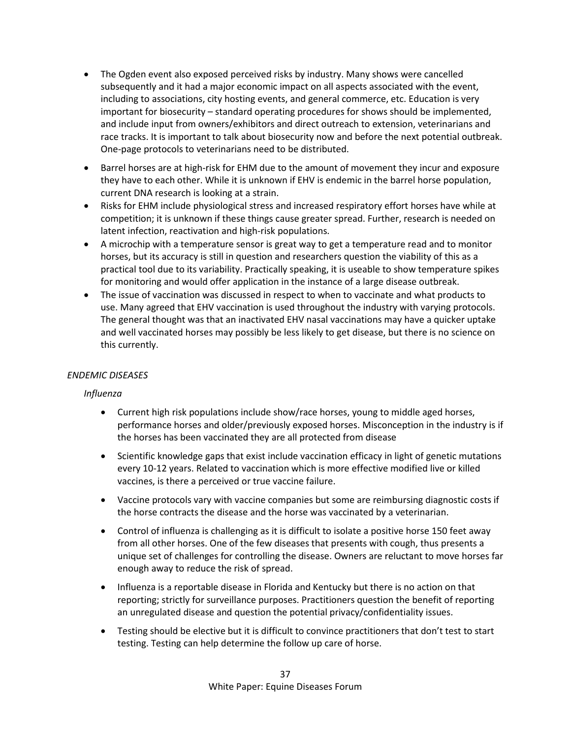- The Ogden event also exposed perceived risks by industry. Many shows were cancelled subsequently and it had a major economic impact on all aspects associated with the event, including to associations, city hosting events, and general commerce, etc. Education is very important for biosecurity – standard operating procedures for shows should be implemented, and include input from owners/exhibitors and direct outreach to extension, veterinarians and race tracks. It is important to talk about biosecurity now and before the next potential outbreak. One-page protocols to veterinarians need to be distributed.
- Barrel horses are at high-risk for EHM due to the amount of movement they incur and exposure they have to each other. While it is unknown if EHV is endemic in the barrel horse population, current DNA research is looking at a strain.
- Risks for EHM include physiological stress and increased respiratory effort horses have while at competition; it is unknown if these things cause greater spread. Further, research is needed on latent infection, reactivation and high-risk populations.
- A microchip with a temperature sensor is great way to get a temperature read and to monitor horses, but its accuracy is still in question and researchers question the viability of this as a practical tool due to its variability. Practically speaking, it is useable to show temperature spikes for monitoring and would offer application in the instance of a large disease outbreak.
- The issue of vaccination was discussed in respect to when to vaccinate and what products to use. Many agreed that EHV vaccination is used throughout the industry with varying protocols. The general thought was that an inactivated EHV nasal vaccinations may have a quicker uptake and well vaccinated horses may possibly be less likely to get disease, but there is no science on this currently.

# *ENDEMIC DISEASES*

## *Influenza*

- Current high risk populations include show/race horses, young to middle aged horses, performance horses and older/previously exposed horses. Misconception in the industry is if the horses has been vaccinated they are all protected from disease
- Scientific knowledge gaps that exist include vaccination efficacy in light of genetic mutations every 10-12 years. Related to vaccination which is more effective modified live or killed vaccines, is there a perceived or true vaccine failure.
- Vaccine protocols vary with vaccine companies but some are reimbursing diagnostic costs if the horse contracts the disease and the horse was vaccinated by a veterinarian.
- Control of influenza is challenging as it is difficult to isolate a positive horse 150 feet away from all other horses. One of the few diseases that presents with cough, thus presents a unique set of challenges for controlling the disease. Owners are reluctant to move horses far enough away to reduce the risk of spread.
- Influenza is a reportable disease in Florida and Kentucky but there is no action on that reporting; strictly for surveillance purposes. Practitioners question the benefit of reporting an unregulated disease and question the potential privacy/confidentiality issues.
- Testing should be elective but it is difficult to convince practitioners that don't test to start testing. Testing can help determine the follow up care of horse.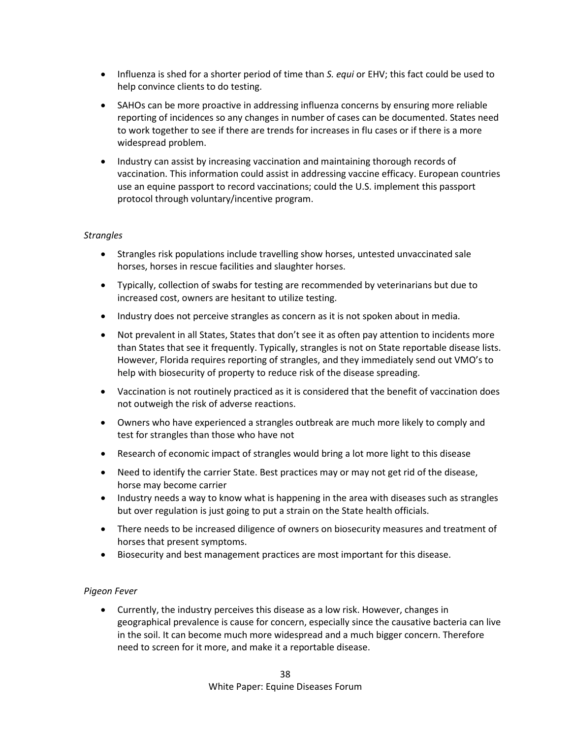- Influenza is shed for a shorter period of time than *S. equi* or EHV; this fact could be used to help convince clients to do testing.
- SAHOs can be more proactive in addressing influenza concerns by ensuring more reliable reporting of incidences so any changes in number of cases can be documented. States need to work together to see if there are trends for increases in flu cases or if there is a more widespread problem.
- Industry can assist by increasing vaccination and maintaining thorough records of vaccination. This information could assist in addressing vaccine efficacy. European countries use an equine passport to record vaccinations; could the U.S. implement this passport protocol through voluntary/incentive program.

### *Strangles*

- Strangles risk populations include travelling show horses, untested unvaccinated sale horses, horses in rescue facilities and slaughter horses.
- Typically, collection of swabs for testing are recommended by veterinarians but due to increased cost, owners are hesitant to utilize testing.
- Industry does not perceive strangles as concern as it is not spoken about in media.
- Not prevalent in all States, States that don't see it as often pay attention to incidents more than States that see it frequently. Typically, strangles is not on State reportable disease lists. However, Florida requires reporting of strangles, and they immediately send out VMO's to help with biosecurity of property to reduce risk of the disease spreading.
- Vaccination is not routinely practiced as it is considered that the benefit of vaccination does not outweigh the risk of adverse reactions.
- Owners who have experienced a strangles outbreak are much more likely to comply and test for strangles than those who have not
- Research of economic impact of strangles would bring a lot more light to this disease
- Need to identify the carrier State. Best practices may or may not get rid of the disease, horse may become carrier
- Industry needs a way to know what is happening in the area with diseases such as strangles but over regulation is just going to put a strain on the State health officials.
- There needs to be increased diligence of owners on biosecurity measures and treatment of horses that present symptoms.
- Biosecurity and best management practices are most important for this disease.

## *Pigeon Fever*

• Currently, the industry perceives this disease as a low risk. However, changes in geographical prevalence is cause for concern, especially since the causative bacteria can live in the soil. It can become much more widespread and a much bigger concern. Therefore need to screen for it more, and make it a reportable disease.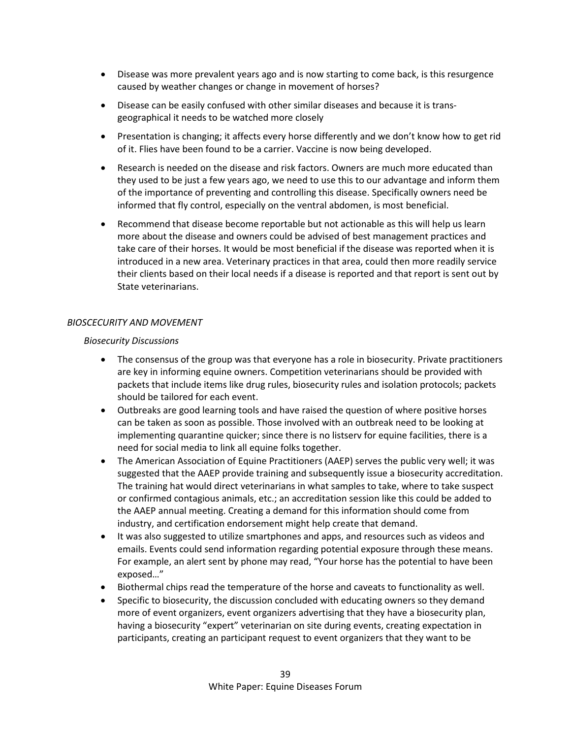- Disease was more prevalent years ago and is now starting to come back, is this resurgence caused by weather changes or change in movement of horses?
- Disease can be easily confused with other similar diseases and because it is transgeographical it needs to be watched more closely
- Presentation is changing; it affects every horse differently and we don't know how to get rid of it. Flies have been found to be a carrier. Vaccine is now being developed.
- Research is needed on the disease and risk factors. Owners are much more educated than they used to be just a few years ago, we need to use this to our advantage and inform them of the importance of preventing and controlling this disease. Specifically owners need be informed that fly control, especially on the ventral abdomen, is most beneficial.
- Recommend that disease become reportable but not actionable as this will help us learn more about the disease and owners could be advised of best management practices and take care of their horses. It would be most beneficial if the disease was reported when it is introduced in a new area. Veterinary practices in that area, could then more readily service their clients based on their local needs if a disease is reported and that report is sent out by State veterinarians.

## *BIOSCECURITY AND MOVEMENT*

### *Biosecurity Discussions*

- The consensus of the group was that everyone has a role in biosecurity. Private practitioners are key in informing equine owners. Competition veterinarians should be provided with packets that include items like drug rules, biosecurity rules and isolation protocols; packets should be tailored for each event.
- Outbreaks are good learning tools and have raised the question of where positive horses can be taken as soon as possible. Those involved with an outbreak need to be looking at implementing quarantine quicker; since there is no listserv for equine facilities, there is a need for social media to link all equine folks together.
- The American Association of Equine Practitioners (AAEP) serves the public very well; it was suggested that the AAEP provide training and subsequently issue a biosecurity accreditation. The training hat would direct veterinarians in what samples to take, where to take suspect or confirmed contagious animals, etc.; an accreditation session like this could be added to the AAEP annual meeting. Creating a demand for this information should come from industry, and certification endorsement might help create that demand.
- It was also suggested to utilize smartphones and apps, and resources such as videos and emails. Events could send information regarding potential exposure through these means. For example, an alert sent by phone may read, "Your horse has the potential to have been exposed…"
- Biothermal chips read the temperature of the horse and caveats to functionality as well.
- Specific to biosecurity, the discussion concluded with educating owners so they demand more of event organizers, event organizers advertising that they have a biosecurity plan, having a biosecurity "expert" veterinarian on site during events, creating expectation in participants, creating an participant request to event organizers that they want to be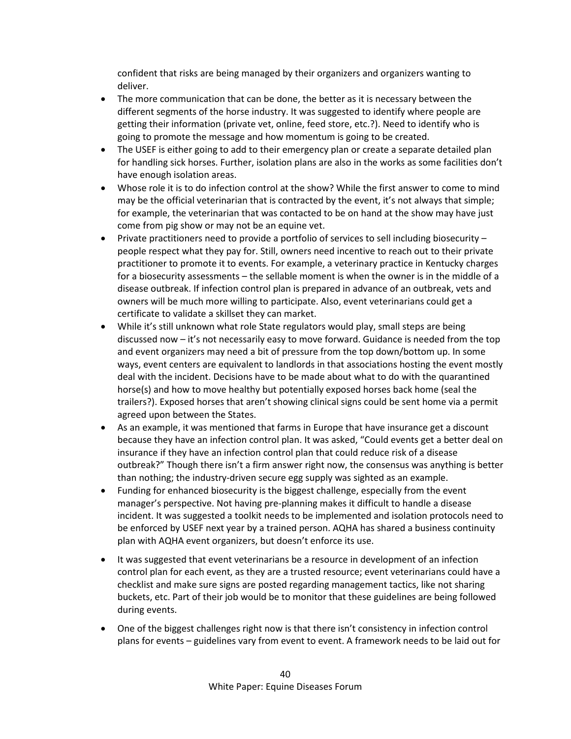confident that risks are being managed by their organizers and organizers wanting to deliver.

- The more communication that can be done, the better as it is necessary between the different segments of the horse industry. It was suggested to identify where people are getting their information (private vet, online, feed store, etc.?). Need to identify who is going to promote the message and how momentum is going to be created.
- The USEF is either going to add to their emergency plan or create a separate detailed plan for handling sick horses. Further, isolation plans are also in the works as some facilities don't have enough isolation areas.
- Whose role it is to do infection control at the show? While the first answer to come to mind may be the official veterinarian that is contracted by the event, it's not always that simple; for example, the veterinarian that was contacted to be on hand at the show may have just come from pig show or may not be an equine vet.
- Private practitioners need to provide a portfolio of services to sell including biosecurity people respect what they pay for. Still, owners need incentive to reach out to their private practitioner to promote it to events. For example, a veterinary practice in Kentucky charges for a biosecurity assessments – the sellable moment is when the owner is in the middle of a disease outbreak. If infection control plan is prepared in advance of an outbreak, vets and owners will be much more willing to participate. Also, event veterinarians could get a certificate to validate a skillset they can market.
- While it's still unknown what role State regulators would play, small steps are being discussed now – it's not necessarily easy to move forward. Guidance is needed from the top and event organizers may need a bit of pressure from the top down/bottom up. In some ways, event centers are equivalent to landlords in that associations hosting the event mostly deal with the incident. Decisions have to be made about what to do with the quarantined horse(s) and how to move healthy but potentially exposed horses back home (seal the trailers?). Exposed horses that aren't showing clinical signs could be sent home via a permit agreed upon between the States.
- As an example, it was mentioned that farms in Europe that have insurance get a discount because they have an infection control plan. It was asked, "Could events get a better deal on insurance if they have an infection control plan that could reduce risk of a disease outbreak?" Though there isn't a firm answer right now, the consensus was anything is better than nothing; the industry-driven secure egg supply was sighted as an example.
- Funding for enhanced biosecurity is the biggest challenge, especially from the event manager's perspective. Not having pre-planning makes it difficult to handle a disease incident. It was suggested a toolkit needs to be implemented and isolation protocols need to be enforced by USEF next year by a trained person. AQHA has shared a business continuity plan with AQHA event organizers, but doesn't enforce its use.
- It was suggested that event veterinarians be a resource in development of an infection control plan for each event, as they are a trusted resource; event veterinarians could have a checklist and make sure signs are posted regarding management tactics, like not sharing buckets, etc. Part of their job would be to monitor that these guidelines are being followed during events.
- One of the biggest challenges right now is that there isn't consistency in infection control plans for events – guidelines vary from event to event. A framework needs to be laid out for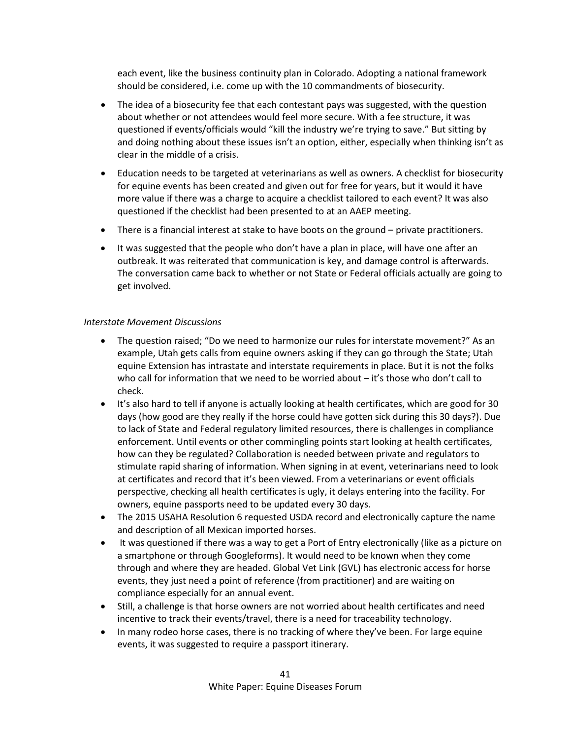each event, like the business continuity plan in Colorado. Adopting a national framework should be considered, i.e. come up with the 10 commandments of biosecurity.

- The idea of a biosecurity fee that each contestant pays was suggested, with the question about whether or not attendees would feel more secure. With a fee structure, it was questioned if events/officials would "kill the industry we're trying to save." But sitting by and doing nothing about these issues isn't an option, either, especially when thinking isn't as clear in the middle of a crisis.
- Education needs to be targeted at veterinarians as well as owners. A checklist for biosecurity for equine events has been created and given out for free for years, but it would it have more value if there was a charge to acquire a checklist tailored to each event? It was also questioned if the checklist had been presented to at an AAEP meeting.
- There is a financial interest at stake to have boots on the ground private practitioners.
- It was suggested that the people who don't have a plan in place, will have one after an outbreak. It was reiterated that communication is key, and damage control is afterwards. The conversation came back to whether or not State or Federal officials actually are going to get involved.

## *Interstate Movement Discussions*

- The question raised; "Do we need to harmonize our rules for interstate movement?" As an example, Utah gets calls from equine owners asking if they can go through the State; Utah equine Extension has intrastate and interstate requirements in place. But it is not the folks who call for information that we need to be worried about – it's those who don't call to check.
- It's also hard to tell if anyone is actually looking at health certificates, which are good for 30 days (how good are they really if the horse could have gotten sick during this 30 days?). Due to lack of State and Federal regulatory limited resources, there is challenges in compliance enforcement. Until events or other commingling points start looking at health certificates, how can they be regulated? Collaboration is needed between private and regulators to stimulate rapid sharing of information. When signing in at event, veterinarians need to look at certificates and record that it's been viewed. From a veterinarians or event officials perspective, checking all health certificates is ugly, it delays entering into the facility. For owners, equine passports need to be updated every 30 days.
- The 2015 USAHA Resolution 6 requested USDA record and electronically capture the name and description of all Mexican imported horses.
- It was questioned if there was a way to get a Port of Entry electronically (like as a picture on a smartphone or through Googleforms). It would need to be known when they come through and where they are headed. Global Vet Link (GVL) has electronic access for horse events, they just need a point of reference (from practitioner) and are waiting on compliance especially for an annual event.
- Still, a challenge is that horse owners are not worried about health certificates and need incentive to track their events/travel, there is a need for traceability technology.
- In many rodeo horse cases, there is no tracking of where they've been. For large equine events, it was suggested to require a passport itinerary.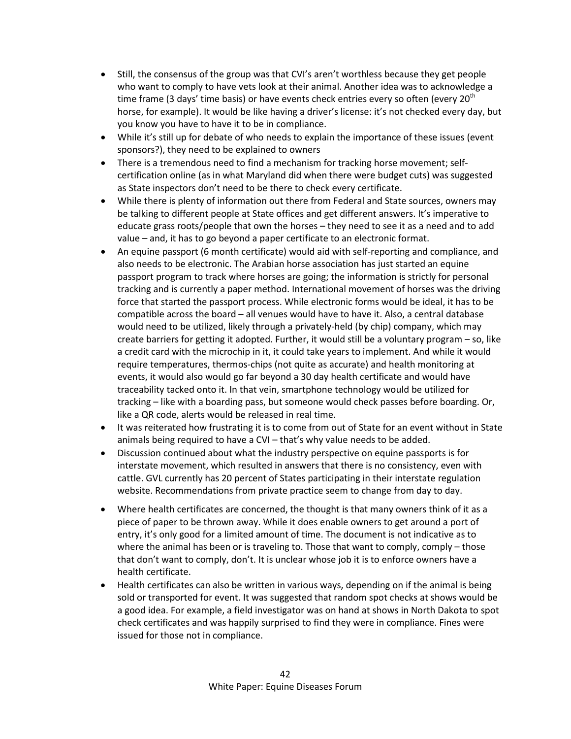- Still, the consensus of the group was that CVI's aren't worthless because they get people who want to comply to have vets look at their animal. Another idea was to acknowledge a time frame (3 days' time basis) or have events check entries every so often (every 20<sup>th</sup>) horse, for example). It would be like having a driver's license: it's not checked every day, but you know you have to have it to be in compliance.
- While it's still up for debate of who needs to explain the importance of these issues (event sponsors?), they need to be explained to owners
- There is a tremendous need to find a mechanism for tracking horse movement; selfcertification online (as in what Maryland did when there were budget cuts) was suggested as State inspectors don't need to be there to check every certificate.
- While there is plenty of information out there from Federal and State sources, owners may be talking to different people at State offices and get different answers. It's imperative to educate grass roots/people that own the horses – they need to see it as a need and to add value – and, it has to go beyond a paper certificate to an electronic format.
- An equine passport (6 month certificate) would aid with self-reporting and compliance, and also needs to be electronic. The Arabian horse association has just started an equine passport program to track where horses are going; the information is strictly for personal tracking and is currently a paper method. International movement of horses was the driving force that started the passport process. While electronic forms would be ideal, it has to be compatible across the board – all venues would have to have it. Also, a central database would need to be utilized, likely through a privately-held (by chip) company, which may create barriers for getting it adopted. Further, it would still be a voluntary program – so, like a credit card with the microchip in it, it could take years to implement. And while it would require temperatures, thermos-chips (not quite as accurate) and health monitoring at events, it would also would go far beyond a 30 day health certificate and would have traceability tacked onto it. In that vein, smartphone technology would be utilized for tracking – like with a boarding pass, but someone would check passes before boarding. Or, like a QR code, alerts would be released in real time.
- It was reiterated how frustrating it is to come from out of State for an event without in State animals being required to have a CVI – that's why value needs to be added.
- Discussion continued about what the industry perspective on equine passports is for interstate movement, which resulted in answers that there is no consistency, even with cattle. GVL currently has 20 percent of States participating in their interstate regulation website. Recommendations from private practice seem to change from day to day.
- Where health certificates are concerned, the thought is that many owners think of it as a piece of paper to be thrown away. While it does enable owners to get around a port of entry, it's only good for a limited amount of time. The document is not indicative as to where the animal has been or is traveling to. Those that want to comply, comply – those that don't want to comply, don't. It is unclear whose job it is to enforce owners have a health certificate.
- Health certificates can also be written in various ways, depending on if the animal is being sold or transported for event. It was suggested that random spot checks at shows would be a good idea. For example, a field investigator was on hand at shows in North Dakota to spot check certificates and was happily surprised to find they were in compliance. Fines were issued for those not in compliance.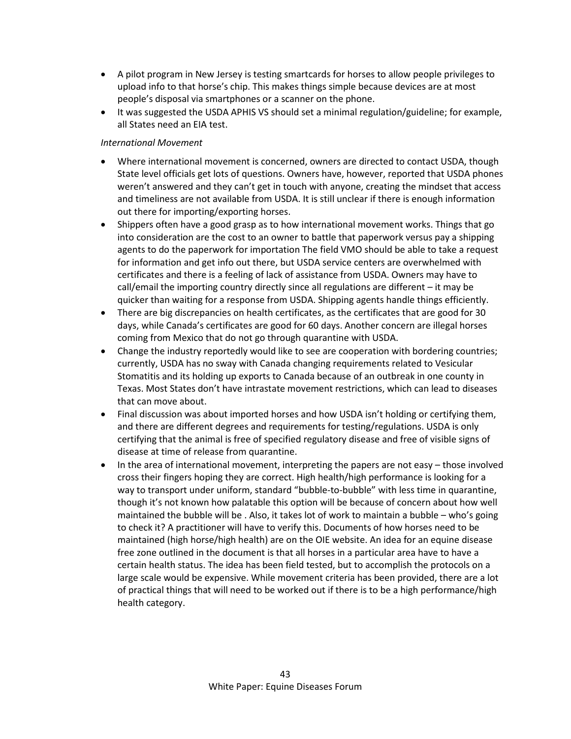- A pilot program in New Jersey is testing smartcards for horses to allow people privileges to upload info to that horse's chip. This makes things simple because devices are at most people's disposal via smartphones or a scanner on the phone.
- It was suggested the USDA APHIS VS should set a minimal regulation/guideline; for example, all States need an EIA test.

## *International Movement*

- Where international movement is concerned, owners are directed to contact USDA, though State level officials get lots of questions. Owners have, however, reported that USDA phones weren't answered and they can't get in touch with anyone, creating the mindset that access and timeliness are not available from USDA. It is still unclear if there is enough information out there for importing/exporting horses.
- Shippers often have a good grasp as to how international movement works. Things that go into consideration are the cost to an owner to battle that paperwork versus pay a shipping agents to do the paperwork for importation The field VMO should be able to take a request for information and get info out there, but USDA service centers are overwhelmed with certificates and there is a feeling of lack of assistance from USDA. Owners may have to call/email the importing country directly since all regulations are different – it may be quicker than waiting for a response from USDA. Shipping agents handle things efficiently.
- There are big discrepancies on health certificates, as the certificates that are good for 30 days, while Canada's certificates are good for 60 days. Another concern are illegal horses coming from Mexico that do not go through quarantine with USDA.
- Change the industry reportedly would like to see are cooperation with bordering countries; currently, USDA has no sway with Canada changing requirements related to Vesicular Stomatitis and its holding up exports to Canada because of an outbreak in one county in Texas. Most States don't have intrastate movement restrictions, which can lead to diseases that can move about.
- Final discussion was about imported horses and how USDA isn't holding or certifying them, and there are different degrees and requirements for testing/regulations. USDA is only certifying that the animal is free of specified regulatory disease and free of visible signs of disease at time of release from quarantine.
- In the area of international movement, interpreting the papers are not easy those involved cross their fingers hoping they are correct. High health/high performance is looking for a way to transport under uniform, standard "bubble-to-bubble" with less time in quarantine, though it's not known how palatable this option will be because of concern about how well maintained the bubble will be . Also, it takes lot of work to maintain a bubble – who's going to check it? A practitioner will have to verify this. Documents of how horses need to be maintained (high horse/high health) are on the OIE website. An idea for an equine disease free zone outlined in the document is that all horses in a particular area have to have a certain health status. The idea has been field tested, but to accomplish the protocols on a large scale would be expensive. While movement criteria has been provided, there are a lot of practical things that will need to be worked out if there is to be a high performance/high health category.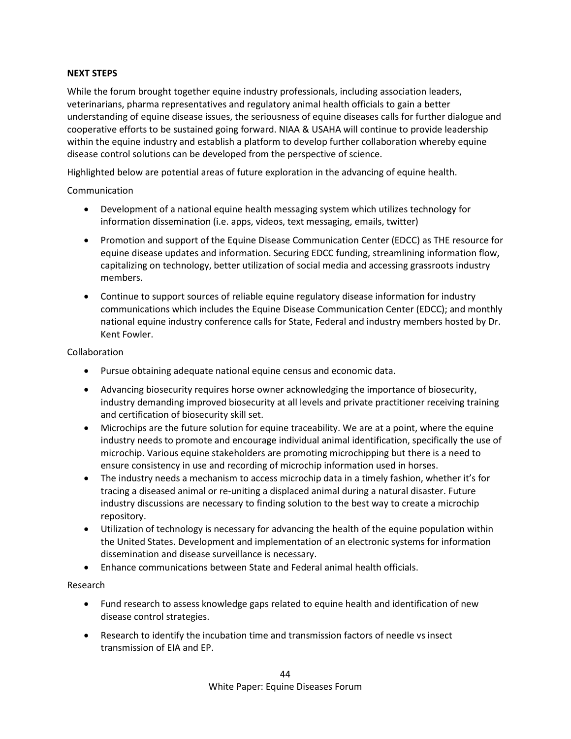## **NEXT STEPS**

While the forum brought together equine industry professionals, including association leaders, veterinarians, pharma representatives and regulatory animal health officials to gain a better understanding of equine disease issues, the seriousness of equine diseases calls for further dialogue and cooperative efforts to be sustained going forward. NIAA & USAHA will continue to provide leadership within the equine industry and establish a platform to develop further collaboration whereby equine disease control solutions can be developed from the perspective of science.

Highlighted below are potential areas of future exploration in the advancing of equine health.

## Communication

- Development of a national equine health messaging system which utilizes technology for information dissemination (i.e. apps, videos, text messaging, emails, twitter)
- Promotion and support of the Equine Disease Communication Center (EDCC) as THE resource for equine disease updates and information. Securing EDCC funding, streamlining information flow, capitalizing on technology, better utilization of social media and accessing grassroots industry members.
- Continue to support sources of reliable equine regulatory disease information for industry communications which includes the Equine Disease Communication Center (EDCC); and monthly national equine industry conference calls for State, Federal and industry members hosted by Dr. Kent Fowler.

## Collaboration

- Pursue obtaining adequate national equine census and economic data.
- Advancing biosecurity requires horse owner acknowledging the importance of biosecurity, industry demanding improved biosecurity at all levels and private practitioner receiving training and certification of biosecurity skill set.
- Microchips are the future solution for equine traceability. We are at a point, where the equine industry needs to promote and encourage individual animal identification, specifically the use of microchip. Various equine stakeholders are promoting microchipping but there is a need to ensure consistency in use and recording of microchip information used in horses.
- The industry needs a mechanism to access microchip data in a timely fashion, whether it's for tracing a diseased animal or re-uniting a displaced animal during a natural disaster. Future industry discussions are necessary to finding solution to the best way to create a microchip repository.
- Utilization of technology is necessary for advancing the health of the equine population within the United States. Development and implementation of an electronic systems for information dissemination and disease surveillance is necessary.
- Enhance communications between State and Federal animal health officials.

## Research

- Fund research to assess knowledge gaps related to equine health and identification of new disease control strategies.
- Research to identify the incubation time and transmission factors of needle vs insect transmission of EIA and EP.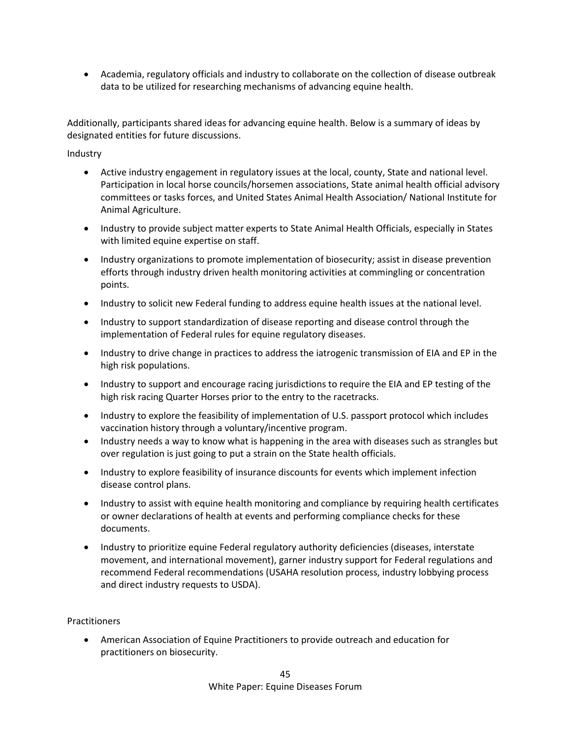• Academia, regulatory officials and industry to collaborate on the collection of disease outbreak data to be utilized for researching mechanisms of advancing equine health.

Additionally, participants shared ideas for advancing equine health. Below is a summary of ideas by designated entities for future discussions.

Industry

- Active industry engagement in regulatory issues at the local, county, State and national level. Participation in local horse councils/horsemen associations, State animal health official advisory committees or tasks forces, and United States Animal Health Association/ National Institute for Animal Agriculture.
- Industry to provide subject matter experts to State Animal Health Officials, especially in States with limited equine expertise on staff.
- Industry organizations to promote implementation of biosecurity; assist in disease prevention efforts through industry driven health monitoring activities at commingling or concentration points.
- Industry to solicit new Federal funding to address equine health issues at the national level.
- Industry to support standardization of disease reporting and disease control through the implementation of Federal rules for equine regulatory diseases.
- Industry to drive change in practices to address the iatrogenic transmission of EIA and EP in the high risk populations.
- Industry to support and encourage racing jurisdictions to require the EIA and EP testing of the high risk racing Quarter Horses prior to the entry to the racetracks.
- Industry to explore the feasibility of implementation of U.S. passport protocol which includes vaccination history through a voluntary/incentive program.
- Industry needs a way to know what is happening in the area with diseases such as strangles but over regulation is just going to put a strain on the State health officials.
- Industry to explore feasibility of insurance discounts for events which implement infection disease control plans.
- Industry to assist with equine health monitoring and compliance by requiring health certificates or owner declarations of health at events and performing compliance checks for these documents.
- Industry to prioritize equine Federal regulatory authority deficiencies (diseases, interstate movement, and international movement), garner industry support for Federal regulations and recommend Federal recommendations (USAHA resolution process, industry lobbying process and direct industry requests to USDA).

Practitioners

• American Association of Equine Practitioners to provide outreach and education for practitioners on biosecurity.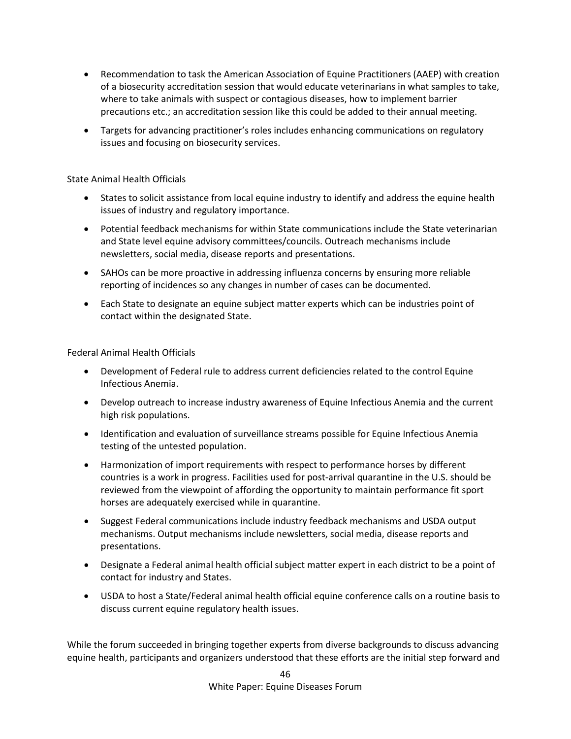- Recommendation to task the American Association of Equine Practitioners (AAEP) with creation of a biosecurity accreditation session that would educate veterinarians in what samples to take, where to take animals with suspect or contagious diseases, how to implement barrier precautions etc.; an accreditation session like this could be added to their annual meeting.
- Targets for advancing practitioner's roles includes enhancing communications on regulatory issues and focusing on biosecurity services.

## State Animal Health Officials

- States to solicit assistance from local equine industry to identify and address the equine health issues of industry and regulatory importance.
- Potential feedback mechanisms for within State communications include the State veterinarian and State level equine advisory committees/councils. Outreach mechanisms include newsletters, social media, disease reports and presentations.
- SAHOs can be more proactive in addressing influenza concerns by ensuring more reliable reporting of incidences so any changes in number of cases can be documented.
- Each State to designate an equine subject matter experts which can be industries point of contact within the designated State.

Federal Animal Health Officials

- Development of Federal rule to address current deficiencies related to the control Equine Infectious Anemia.
- Develop outreach to increase industry awareness of Equine Infectious Anemia and the current high risk populations.
- Identification and evaluation of surveillance streams possible for Equine Infectious Anemia testing of the untested population.
- Harmonization of import requirements with respect to performance horses by different countries is a work in progress. Facilities used for post-arrival quarantine in the U.S. should be reviewed from the viewpoint of affording the opportunity to maintain performance fit sport horses are adequately exercised while in quarantine.
- Suggest Federal communications include industry feedback mechanisms and USDA output mechanisms. Output mechanisms include newsletters, social media, disease reports and presentations.
- Designate a Federal animal health official subject matter expert in each district to be a point of contact for industry and States.
- USDA to host a State/Federal animal health official equine conference calls on a routine basis to discuss current equine regulatory health issues.

While the forum succeeded in bringing together experts from diverse backgrounds to discuss advancing equine health, participants and organizers understood that these efforts are the initial step forward and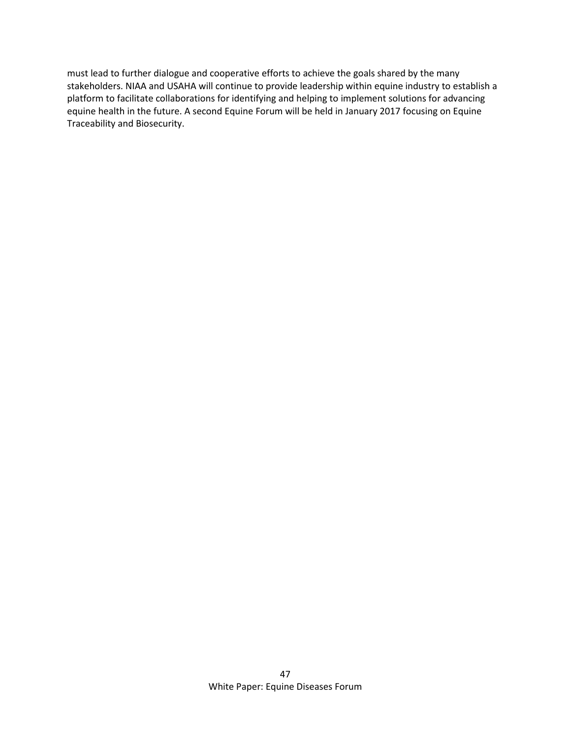must lead to further dialogue and cooperative efforts to achieve the goals shared by the many stakeholders. NIAA and USAHA will continue to provide leadership within equine industry to establish a platform to facilitate collaborations for identifying and helping to implement solutions for advancing equine health in the future. A second Equine Forum will be held in January 2017 focusing on Equine Traceability and Biosecurity.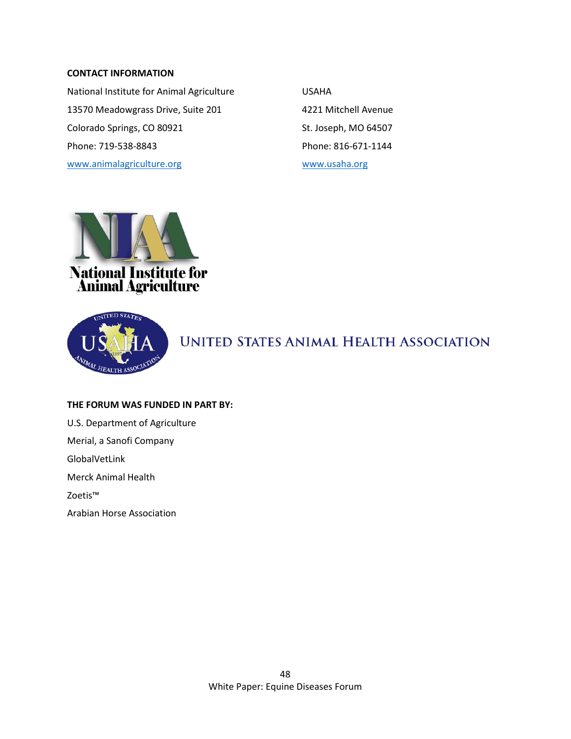### **CONTACT INFORMATION**

National Institute for Animal Agriculture **WALES CONTA** 13570 Meadowgrass Drive, Suite 201 4221 Mitchell Avenue Colorado Springs, CO 80921 St. Joseph, MO 64507 Phone: 719-538-8843 Phone: 816-671-1144 [www.animalagriculture.org](http://www.animalagriculture.org/) [www.usaha.org](http://www.usaha.org/)



**National Institute for<br>Animal Agriculture** 



**UNITED STATES ANIMAL HEALTH ASSOCIATION** 

#### **THE FORUM WAS FUNDED IN PART BY:**

U.S. Department of Agriculture

Merial, a Sanofi Company

GlobalVetLink

Merck Animal Health

Zoetis™

Arabian Horse Association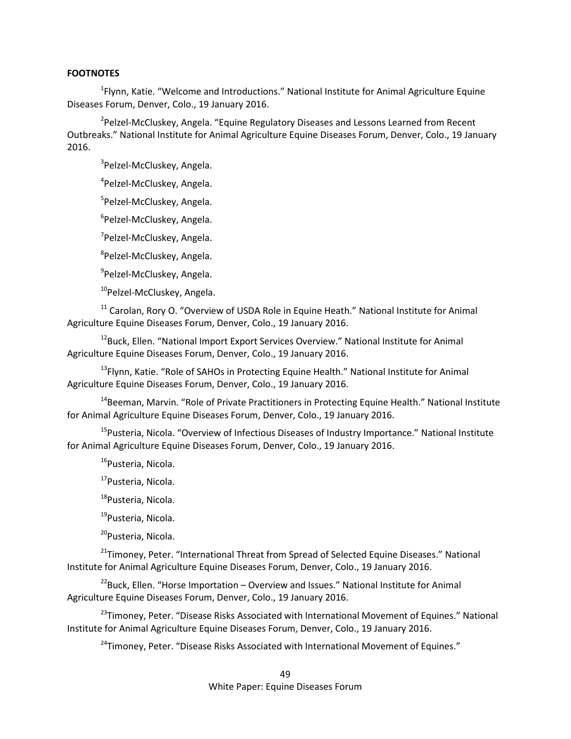#### **FOOTNOTES**

<sup>1</sup>Flynn, Katie. "Welcome and Introductions." National Institute for Animal Agriculture Equine Diseases Forum, Denver, Colo., 19 January 2016.

<sup>2</sup>Pelzel-McCluskey, Angela. "Equine Regulatory Diseases and Lessons Learned from Recent Outbreaks." National Institute for Animal Agriculture Equine Diseases Forum, Denver, Colo., 19 January 2016.

<sup>3</sup>Pelzel-McCluskey, Angela.

4 Pelzel-McCluskey, Angela.

<sup>5</sup>Pelzel-McCluskey, Angela.

<sup>6</sup>Pelzel-McCluskey, Angela.

<sup>7</sup>Pelzel-McCluskey, Angela.

8 Pelzel-McCluskey, Angela.

<sup>9</sup>Pelzel-McCluskey, Angela.

<sup>10</sup>Pelzel-McCluskey, Angela.

 $11$  Carolan, Rory O. "Overview of USDA Role in Equine Heath." National Institute for Animal Agriculture Equine Diseases Forum, Denver, Colo., 19 January 2016.

<sup>12</sup>Buck, Ellen. "National Import Export Services Overview." National Institute for Animal Agriculture Equine Diseases Forum, Denver, Colo., 19 January 2016.

<sup>13</sup>Flynn, Katie. "Role of SAHOs in Protecting Equine Health." National Institute for Animal Agriculture Equine Diseases Forum, Denver, Colo., 19 January 2016.

<sup>14</sup>Beeman, Marvin. "Role of Private Practitioners in Protecting Equine Health." National Institute for Animal Agriculture Equine Diseases Forum, Denver, Colo., 19 January 2016.

<sup>15</sup>Pusteria, Nicola. "Overview of Infectious Diseases of Industry Importance." National Institute for Animal Agriculture Equine Diseases Forum, Denver, Colo., 19 January 2016.

<sup>16</sup>Pusteria, Nicola.

<sup>17</sup>Pusteria, Nicola.

<sup>18</sup>Pusteria, Nicola.

<sup>19</sup>Pusteria, Nicola.

<sup>20</sup>Pusteria, Nicola.

<sup>21</sup>Timoney, Peter. "International Threat from Spread of Selected Equine Diseases." National Institute for Animal Agriculture Equine Diseases Forum, Denver, Colo., 19 January 2016.

 $^{22}$ Buck, Ellen. "Horse Importation – Overview and Issues." National Institute for Animal Agriculture Equine Diseases Forum, Denver, Colo., 19 January 2016.

<sup>23</sup>Timoney, Peter. "Disease Risks Associated with International Movement of Equines." National Institute for Animal Agriculture Equine Diseases Forum, Denver, Colo., 19 January 2016.

<sup>24</sup>Timoney, Peter. "Disease Risks Associated with International Movement of Equines."